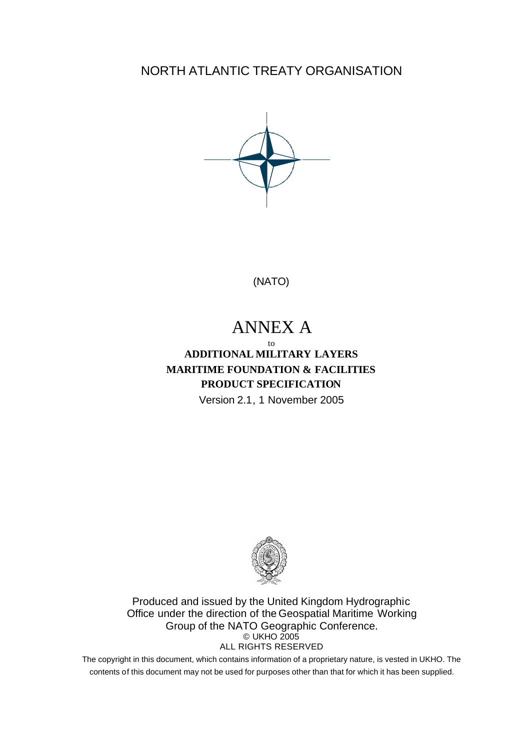NORTH ATLANTIC TREATY ORGANISATION



(NATO)

# ANNEX A

to **ADDITIONAL MILITARY LAYERS MARITIME FOUNDATION & FACILITIES PRODUCT SPECIFICATION** Version 2.1, 1 November 2005



Produced and issued by the United Kingdom Hydrographic Office under the direction of the Geospatial Maritime Working Group of the NATO Geographic Conference. © UKHO 2005 ALL RIGHTS RESERVED

The copyright in this document, which contains information of a proprietary nature, is vested in UKHO. The contents of this document may not be used for purposes other than that for which it has been supplied.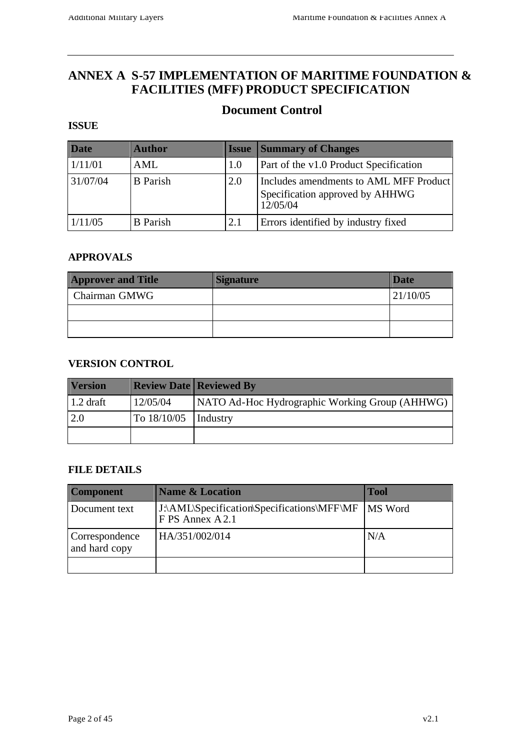### **ANNEX A S-57 IMPLEMENTATION OF MARITIME FOUNDATION & FACILITIES (MFF) PRODUCT SPECIFICATION**

### **Document Control**

#### **ISSUE**

| <b>Date</b> | <b>Author</b>   | <b>Issue</b> | <b>Summary of Changes</b>                                                             |
|-------------|-----------------|--------------|---------------------------------------------------------------------------------------|
| 1/11/01     | AML             | 1.0          | Part of the v1.0 Product Specification                                                |
| 31/07/04    | <b>B</b> Parish | 2.0          | Includes amendments to AML MFF Product<br>Specification approved by AHHWG<br>12/05/04 |
| 1/11/05     | <b>B</b> Parish | 2.1          | Errors identified by industry fixed                                                   |

#### **APPROVALS**

| <b>Approver and Title</b> | <b>Signature</b> | <b>Date</b> |
|---------------------------|------------------|-------------|
| Chairman GMWG             |                  | 21/10/05    |
|                           |                  |             |
|                           |                  |             |

#### **VERSION CONTROL**

| <b>Version</b> |                          | <b>Review Date   Reviewed By</b>               |
|----------------|--------------------------|------------------------------------------------|
| $1.2$ draft    | 12/05/04                 | NATO Ad-Hoc Hydrographic Working Group (AHHWG) |
| 2.0            | To $18/10/05$ [Industry] |                                                |
|                |                          |                                                |

#### **FILE DETAILS**

| <b>Component</b>                | <b>Name &amp; Location</b>                                     | <b>Tool</b> |
|---------------------------------|----------------------------------------------------------------|-------------|
| Document text                   | J:\AML\Specification\Specifications\MFF\MF<br>F PS Annex A 2.1 | MS Word     |
| Correspondence<br>and hard copy | HA/351/002/014                                                 | N/A         |
|                                 |                                                                |             |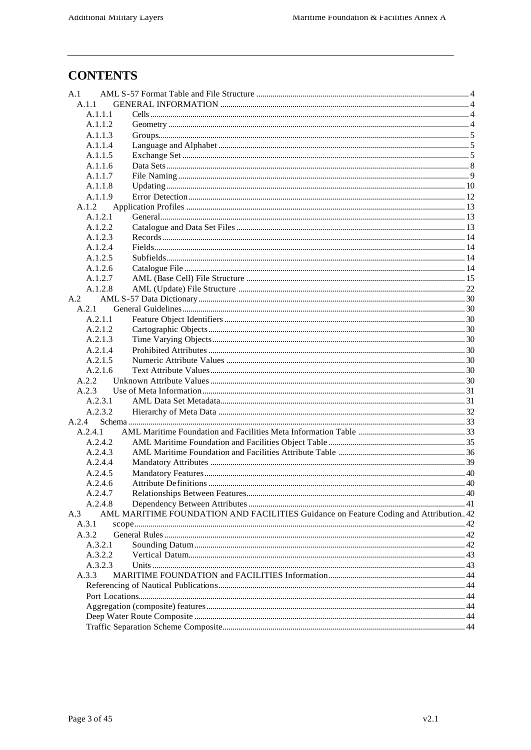# **CONTENTS**

| A.1     |                                                                                      |  |
|---------|--------------------------------------------------------------------------------------|--|
| A.1.1   |                                                                                      |  |
| A.1.1.1 |                                                                                      |  |
| A.1.1.2 |                                                                                      |  |
| A.1.1.3 |                                                                                      |  |
| A.1.1.4 |                                                                                      |  |
| A.1.1.5 |                                                                                      |  |
| A.1.1.6 |                                                                                      |  |
| A.1.1.7 |                                                                                      |  |
| A.1.1.8 |                                                                                      |  |
| A.1.1.9 |                                                                                      |  |
| A.1.2   |                                                                                      |  |
| A.1.2.1 |                                                                                      |  |
| A.1.2.2 |                                                                                      |  |
| A.1.2.3 |                                                                                      |  |
| A.1.2.4 |                                                                                      |  |
| A.1.2.5 |                                                                                      |  |
| A.1.2.6 |                                                                                      |  |
| A.1.2.7 |                                                                                      |  |
| A.1.2.8 |                                                                                      |  |
| A.2     |                                                                                      |  |
| A.2.1   |                                                                                      |  |
| A.2.1.1 |                                                                                      |  |
| A.2.1.2 |                                                                                      |  |
| A.2.1.3 |                                                                                      |  |
| A.2.1.4 |                                                                                      |  |
| A.2.1.5 |                                                                                      |  |
| A.2.1.6 |                                                                                      |  |
| A.2.2   |                                                                                      |  |
| A.2.3   |                                                                                      |  |
| A.2.3.1 |                                                                                      |  |
| A.2.3.2 |                                                                                      |  |
| A.2.4   |                                                                                      |  |
| A.2.4.1 |                                                                                      |  |
| A.2.4.2 |                                                                                      |  |
| A.2.4.3 |                                                                                      |  |
| A.2.4.4 |                                                                                      |  |
| A.2.4.5 |                                                                                      |  |
| A.2.4.6 |                                                                                      |  |
| A.2.4.7 |                                                                                      |  |
| A.2.4.8 |                                                                                      |  |
| A.3     | AML MARITIME FOUNDATION AND FACILITIES Guidance on Feature Coding and Attribution 42 |  |
| A.3.1   |                                                                                      |  |
| A.3.2   |                                                                                      |  |
| A.3.2.1 |                                                                                      |  |
| A.3.2.2 |                                                                                      |  |
| A.3.2.3 |                                                                                      |  |
| A.3.3   |                                                                                      |  |
|         |                                                                                      |  |
|         |                                                                                      |  |
|         |                                                                                      |  |
|         |                                                                                      |  |
|         |                                                                                      |  |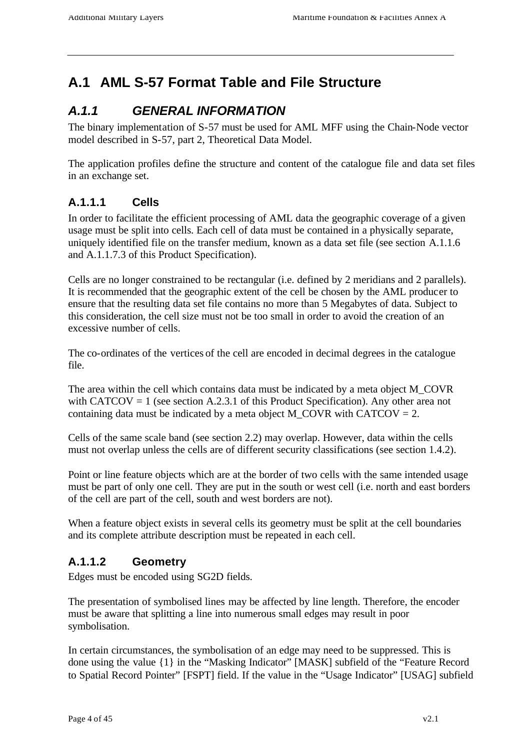# **A.1 AML S-57 Format Table and File Structure**

# *A.1.1 GENERAL INFORMATION*

The binary implementation of S-57 must be used for AML MFF using the Chain-Node vector model described in S-57, part 2, Theoretical Data Model.

The application profiles define the structure and content of the catalogue file and data set files in an exchange set.

### **A.1.1.1 Cells**

In order to facilitate the efficient processing of AML data the geographic coverage of a given usage must be split into cells. Each cell of data must be contained in a physically separate, uniquely identified file on the transfer medium, known as a data set file (see section A.1.1.6 and A.1.1.7.3 of this Product Specification).

Cells are no longer constrained to be rectangular (i.e. defined by 2 meridians and 2 parallels). It is recommended that the geographic extent of the cell be chosen by the AML producer to ensure that the resulting data set file contains no more than 5 Megabytes of data. Subject to this consideration, the cell size must not be too small in order to avoid the creation of an excessive number of cells.

The co-ordinates of the vertices of the cell are encoded in decimal degrees in the catalogue file.

The area within the cell which contains data must be indicated by a meta object M\_COVR with CATCOV = 1 (see section A.2.3.1 of this Product Specification). Any other area not containing data must be indicated by a meta object M\_COVR with CATCOV =  $2$ .

Cells of the same scale band (see section 2.2) may overlap. However, data within the cells must not overlap unless the cells are of different security classifications (see section 1.4.2).

Point or line feature objects which are at the border of two cells with the same intended usage must be part of only one cell. They are put in the south or west cell (i.e. north and east borders of the cell are part of the cell, south and west borders are not).

When a feature object exists in several cells its geometry must be split at the cell boundaries and its complete attribute description must be repeated in each cell.

### **A.1.1.2 Geometry**

Edges must be encoded using SG2D fields.

The presentation of symbolised lines may be affected by line length. Therefore, the encoder must be aware that splitting a line into numerous small edges may result in poor symbolisation.

In certain circumstances, the symbolisation of an edge may need to be suppressed. This is done using the value {1} in the "Masking Indicator" [MASK] subfield of the "Feature Record to Spatial Record Pointer" [FSPT] field. If the value in the "Usage Indicator" [USAG] subfield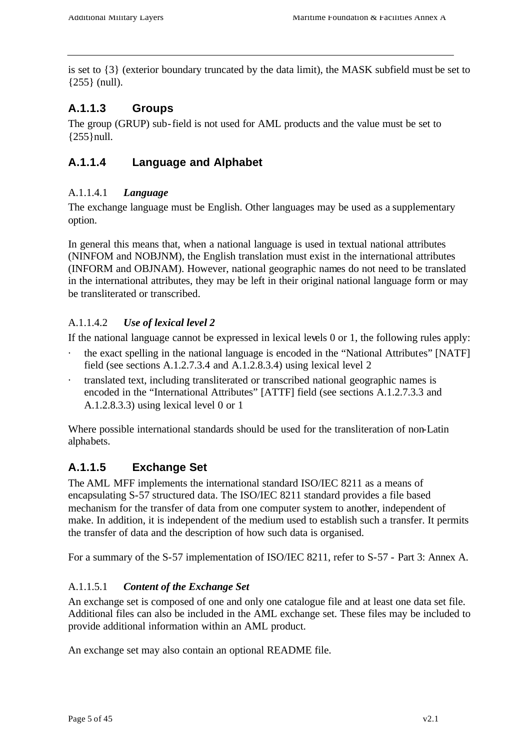is set to {3} (exterior boundary truncated by the data limit), the MASK subfield must be set to {255} (null).

### **A.1.1.3 Groups**

The group (GRUP) sub-field is not used for AML products and the value must be set to {255}null.

### **A.1.1.4 Language and Alphabet**

#### A.1.1.4.1 *Language*

The exchange language must be English. Other languages may be used as a supplementary option.

In general this means that, when a national language is used in textual national attributes (NINFOM and NOBJNM), the English translation must exist in the international attributes (INFORM and OBJNAM). However, national geographic names do not need to be translated in the international attributes, they may be left in their original national language form or may be transliterated or transcribed.

#### A.1.1.4.2 *Use of lexical level 2*

If the national language cannot be expressed in lexical levels 0 or 1, the following rules apply:

- the exact spelling in the national language is encoded in the "National Attributes" [NATF] field (see sections A.1.2.7.3.4 and A.1.2.8.3.4) using lexical level 2
- · translated text, including transliterated or transcribed national geographic names is encoded in the "International Attributes" [ATTF] field (see sections A.1.2.7.3.3 and A.1.2.8.3.3) using lexical level 0 or 1

Where possible international standards should be used for the transliteration of non-Latin alphabets.

### **A.1.1.5 Exchange Set**

The AML MFF implements the international standard ISO/IEC 8211 as a means of encapsulating S-57 structured data. The ISO/IEC 8211 standard provides a file based mechanism for the transfer of data from one computer system to another, independent of make. In addition, it is independent of the medium used to establish such a transfer. It permits the transfer of data and the description of how such data is organised.

For a summary of the S-57 implementation of ISO/IEC 8211, refer to S-57 - Part 3: Annex A.

### A.1.1.5.1 *Content of the Exchange Set*

An exchange set is composed of one and only one catalogue file and at least one data set file. Additional files can also be included in the AML exchange set. These files may be included to provide additional information within an AML product.

An exchange set may also contain an optional README file.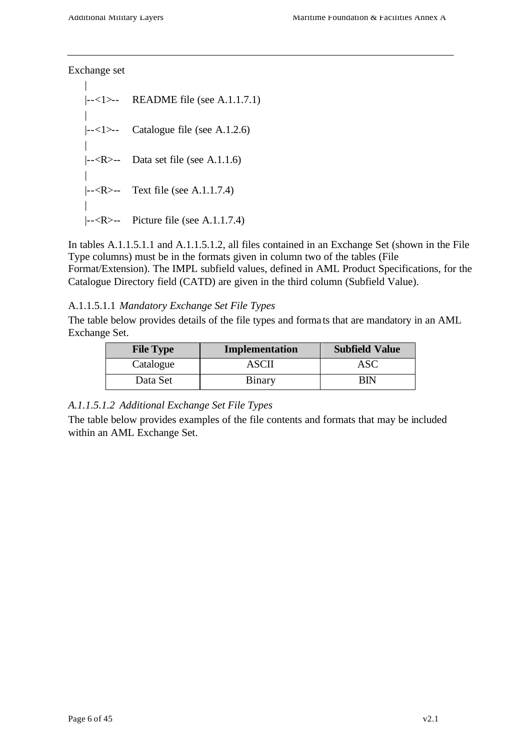Exchange set

| |--<1>-- README file (see A.1.1.7.1) | |--<1>-- Catalogue file (see A.1.2.6) |  $\left| \left| \left| \right| < R \right| \right|$  Data set file (see A.1.1.6) | |--<R>-- Text file (see A.1.1.7.4) | |--<R>-- Picture file (see A.1.1.7.4)

In tables A.1.1.5.1.1 and A.1.1.5.1.2, all files contained in an Exchange Set (shown in the File Type columns) must be in the formats given in column two of the tables (File Format/Extension). The IMPL subfield values, defined in AML Product Specifications, for the Catalogue Directory field (CATD) are given in the third column (Subfield Value).

#### A.1.1.5.1.1 *Mandatory Exchange Set File Types*

The table below provides details of the file types and forma ts that are mandatory in an AML Exchange Set.

| <b>File Type</b> | Implementation | <b>Subfield Value</b> |
|------------------|----------------|-----------------------|
| Catalogue        | ASCII          | ASC                   |
| Data Set         | Binary         |                       |

#### *A.1.1.5.1.2 Additional Exchange Set File Types*

The table below provides examples of the file contents and formats that may be included within an AML Exchange Set.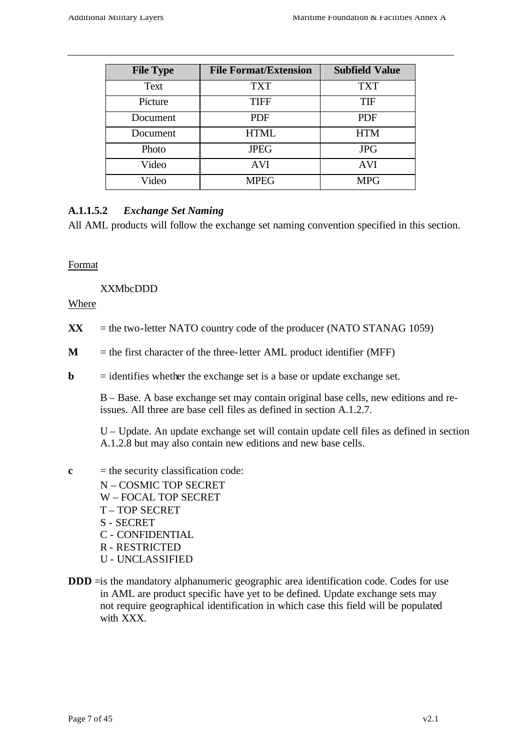| <b>File Type</b> | <b>File Format/Extension</b> | <b>Subfield Value</b> |
|------------------|------------------------------|-----------------------|
| Text             | <b>TXT</b>                   | <b>TXT</b>            |
| Picture          | <b>TIFF</b>                  | <b>TIF</b>            |
| Document         | <b>PDF</b>                   | <b>PDF</b>            |
| Document         | <b>HTML</b>                  | <b>HTM</b>            |
| Photo            | <b>JPEG</b>                  | <b>JPG</b>            |
| Video            | <b>AVI</b>                   | <b>AVI</b>            |
| Video            | <b>MPEG</b>                  | <b>MPG</b>            |

### **A.1.1.5.2** *Exchange Set Naming*

All AML products will follow the exchange set naming convention specified in this section.

#### Format

XXMbcDDD

Where

- $\bf{XX}$  = the two-letter NATO country code of the producer (NATO STANAG 1059)
- $M =$  the first character of the three-letter AML product identifier (MFF)
- **= identifies whether the exchange set is a base or update exchange set.**

B – Base. A base exchange set may contain original base cells, new editions and reissues. All three are base cell files as defined in section A.1.2.7.

U – Update. An update exchange set will contain update cell files as defined in section A.1.2.8 but may also contain new editions and new base cells.

- $c =$  the security classification code:
	- N COSMIC TOP SECRET W – FOCAL TOP SECRET T – TOP SECRET S - SECRET C - CONFIDENTIAL R - RESTRICTED U - UNCLASSIFIED
- **DDD** = is the mandatory alphanumeric geographic area identification code. Codes for use in AML are product specific have yet to be defined. Update exchange sets may not require geographical identification in which case this field will be populated with XXX.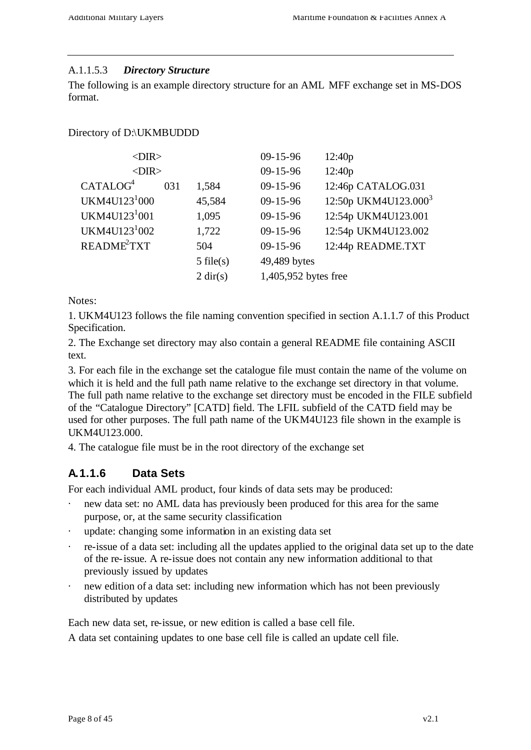#### A.1.1.5.3 *Directory Structure*

The following is an example directory structure for an AML MFF exchange set in MS-DOS format.

Directory of D:\UKMBUDDD

| $<$ DIR $>$               |     |                    | 09-15-96             | 12:40p                           |
|---------------------------|-----|--------------------|----------------------|----------------------------------|
| $<$ DIR $>$               |     |                    | $09 - 15 - 96$       | 12:40p                           |
| CATALOG <sup>4</sup>      | 031 | 1,584              | $09 - 15 - 96$       | 12:46p CATALOG.031               |
| UKM4U123 <sup>1</sup> 000 |     | 45,584             | $09 - 15 - 96$       | 12:50p UKM4U123.000 <sup>3</sup> |
| UKM4U123 <sup>1</sup> 001 |     | 1,095              | $09 - 15 - 96$       | 12:54p UKM4U123.001              |
| UKM4U123 <sup>1</sup> 002 |     | 1,722              | $09 - 15 - 96$       | 12:54p UKM4U123.002              |
| README <sup>2</sup> TXT   |     | 504                | $09 - 15 - 96$       | 12:44p README.TXT                |
|                           |     | $5$ file(s)        | 49,489 bytes         |                                  |
|                           |     | $2 \text{ dir}(s)$ | 1,405,952 bytes free |                                  |
|                           |     |                    |                      |                                  |

Notes:

1. UKM4U123 follows the file naming convention specified in section A.1.1.7 of this Product Specification.

2. The Exchange set directory may also contain a general README file containing ASCII text.

3. For each file in the exchange set the catalogue file must contain the name of the volume on which it is held and the full path name relative to the exchange set directory in that volume. The full path name relative to the exchange set directory must be encoded in the FILE subfield of the "Catalogue Directory" [CATD] field. The LFIL subfield of the CATD field may be used for other purposes. The full path name of the UKM4U123 file shown in the example is UKM4U123.000.

4. The catalogue file must be in the root directory of the exchange set

### **A.1.1.6 Data Sets**

For each individual AML product, four kinds of data sets may be produced:

- new data set: no AML data has previously been produced for this area for the same purpose, or, at the same security classification
- update: changing some information in an existing data set
- · re-issue of a data set: including all the updates applied to the original data set up to the date of the re-issue. A re-issue does not contain any new information additional to that previously issued by updates
- new edition of a data set: including new information which has not been previously distributed by updates

Each new data set, re-issue, or new edition is called a base cell file.

A data set containing updates to one base cell file is called an update cell file.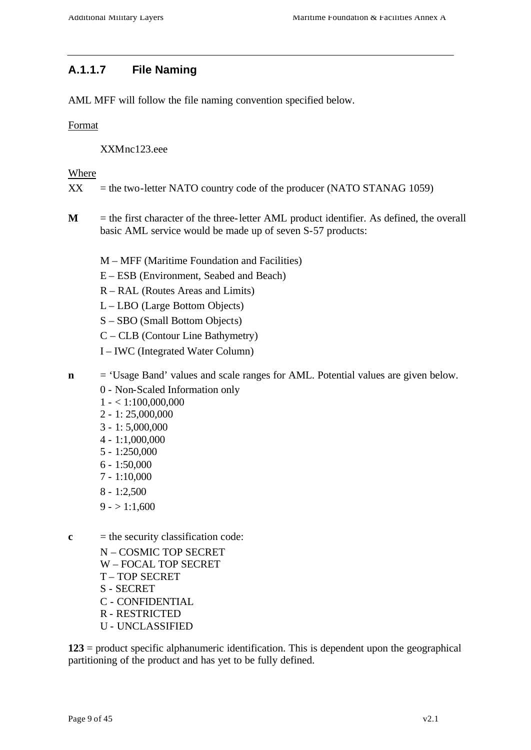### **A.1.1.7 File Naming**

AML MFF will follow the file naming convention specified below.

#### Format

XXMnc123.eee

#### Where

- $XX =$  the two-letter NATO country code of the producer (NATO STANAG 1059)
- **M** = the first character of the three-letter AML product identifier. As defined, the overall basic AML service would be made up of seven S-57 products:
	- M MFF (Maritime Foundation and Facilities)
	- E ESB (Environment, Seabed and Beach)
	- R RAL (Routes Areas and Limits)
	- L LBO (Large Bottom Objects)
	- S SBO (Small Bottom Objects)
	- C CLB (Contour Line Bathymetry)
	- I IWC (Integrated Water Column)
- **n** = 'Usage Band' values and scale ranges for AML. Potential values are given below.
	- 0 Non-Scaled Information only
	- $1 1.100,000,000$
	- 2 1: 25,000,000
	- 3 1: 5,000,000
	- 4 1:1,000,000
	- 5 1:250,000
	- 6 1:50,000
	- 7 1:10,000
	- 8 1:2,500
	- $9 1:1,600$
- $c =$  the security classification code:
	- N COSMIC TOP SECRET W – FOCAL TOP SECRET T – TOP SECRET S - SECRET C - CONFIDENTIAL R - RESTRICTED U - UNCLASSIFIED

**123** = product specific alphanumeric identification. This is dependent upon the geographical partitioning of the product and has yet to be fully defined.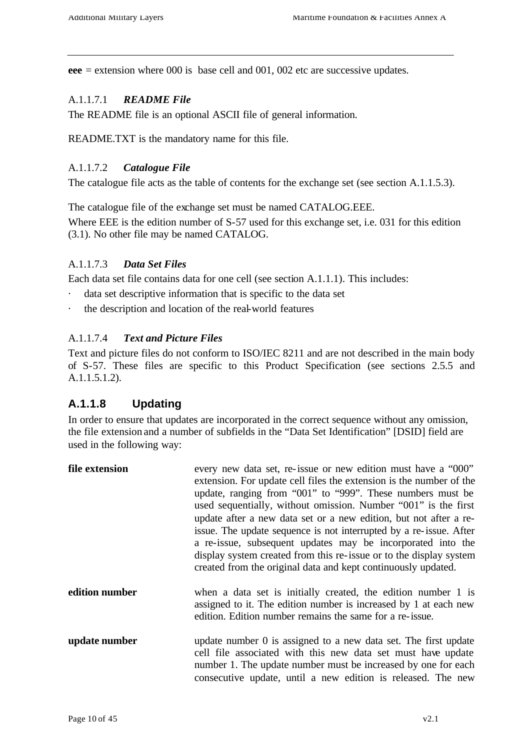**eee** = extension where 000 is base cell and 001, 002 etc are successive updates.

#### A.1.1.7.1 *README File*

The README file is an optional ASCII file of general information.

README.TXT is the mandatory name for this file.

#### A.1.1.7.2 *Catalogue File*

The catalogue file acts as the table of contents for the exchange set (see section A.1.1.5.3).

The catalogue file of the exchange set must be named CATALOG.EEE.

Where EEE is the edition number of S-57 used for this exchange set, i.e. 031 for this edition (3.1). No other file may be named CATALOG.

#### A.1.1.7.3 *Data Set Files*

Each data set file contains data for one cell (see section A.1.1.1). This includes:

- data set descriptive information that is specific to the data set
- · the description and location of the real-world features

#### A.1.1.7.4 *Text and Picture Files*

Text and picture files do not conform to ISO/IEC 8211 and are not described in the main body of S-57. These files are specific to this Product Specification (see sections 2.5.5 and A.1.1.5.1.2).

### **A.1.1.8 Updating**

In order to ensure that updates are incorporated in the correct sequence without any omission, the file extension and a number of subfields in the "Data Set Identification" [DSID] field are used in the following way:

| file extension | every new data set, re-issue or new edition must have a "000"<br>extension. For update cell files the extension is the number of the<br>update, ranging from "001" to "999". These numbers must be<br>used sequentially, without omission. Number "001" is the first<br>update after a new data set or a new edition, but not after a re-<br>issue. The update sequence is not interrupted by a re-issue. After<br>a re-issue, subsequent updates may be incorporated into the<br>display system created from this re-issue or to the display system<br>created from the original data and kept continuously updated. |
|----------------|-----------------------------------------------------------------------------------------------------------------------------------------------------------------------------------------------------------------------------------------------------------------------------------------------------------------------------------------------------------------------------------------------------------------------------------------------------------------------------------------------------------------------------------------------------------------------------------------------------------------------|
| edition number | when a data set is initially created, the edition number 1 is<br>assigned to it. The edition number is increased by 1 at each new<br>edition. Edition number remains the same for a re-issue.                                                                                                                                                                                                                                                                                                                                                                                                                         |
| update number  | update number 0 is assigned to a new data set. The first update<br>cell file associated with this new data set must have update<br>number 1. The update number must be increased by one for each<br>consecutive update, until a new edition is released. The new                                                                                                                                                                                                                                                                                                                                                      |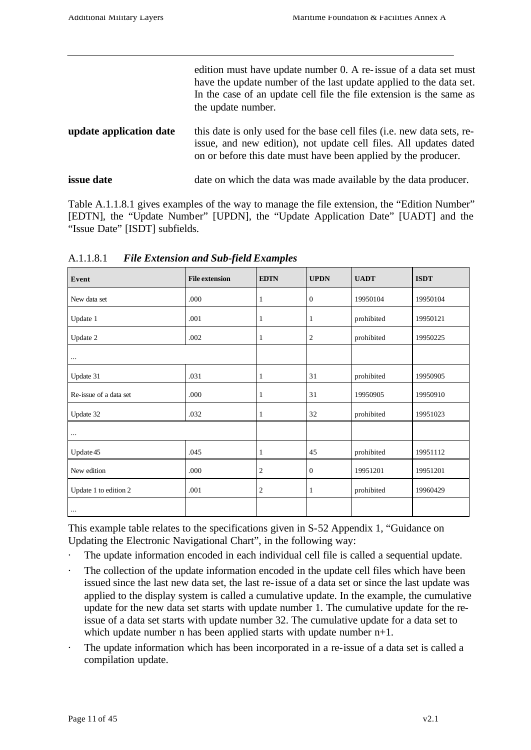|                         | edition must have update number 0. A re-issue of a data set must<br>have the update number of the last update applied to the data set.<br>In the case of an update cell file the file extension is the same as<br>the update number. |
|-------------------------|--------------------------------------------------------------------------------------------------------------------------------------------------------------------------------------------------------------------------------------|
| update application date | this date is only used for the base cell files (i.e. new data sets, re-<br>issue, and new edition), not update cell files. All updates dated<br>on or before this date must have been applied by the producer.                       |
| <i>issue</i> date       | date on which the data was made available by the data producer.                                                                                                                                                                      |

Table A.1.1.8.1 gives examples of the way to manage the file extension, the "Edition Number" [EDTN], the "Update Number" [UPDN], the "Update Application Date" [UADT] and the "Issue Date" [ISDT] subfields.

| Event                  | <b>File extension</b> | <b>EDTN</b>    | <b>UPDN</b>    | <b>UADT</b> | <b>ISDT</b> |
|------------------------|-----------------------|----------------|----------------|-------------|-------------|
| New data set           | .000                  | 1              | $\mathbf{0}$   | 19950104    | 19950104    |
| Update 1               | .001                  | 1              | 1              | prohibited  | 19950121    |
| Update 2               | .002                  | $\mathbf{1}$   | $\mathfrak{2}$ | prohibited  | 19950225    |
| $\cdots$               |                       |                |                |             |             |
| Update 31              | .031                  | 1              | 31             | prohibited  | 19950905    |
| Re-issue of a data set | .000                  | 1              | 31             | 19950905    | 19950910    |
| Update 32              | .032                  | 1              | 32             | prohibited  | 19951023    |
| $\cdots$               |                       |                |                |             |             |
| Update 45              | .045                  | 1              | 45             | prohibited  | 19951112    |
| New edition            | .000                  | $\overline{c}$ | $\mathbf{0}$   | 19951201    | 19951201    |
| Update 1 to edition 2  | .001                  | $\overline{c}$ | 1              | prohibited  | 19960429    |
| $\cdots$               |                       |                |                |             |             |

A.1.1.8.1 *File Extension and Sub-field Examples*

This example table relates to the specifications given in S-52 Appendix 1, "Guidance on Updating the Electronic Navigational Chart", in the following way:

- The update information encoded in each individual cell file is called a sequential update.
- The collection of the update information encoded in the update cell files which have been issued since the last new data set, the last re-issue of a data set or since the last update was applied to the display system is called a cumulative update. In the example, the cumulative update for the new data set starts with update number 1. The cumulative update for the reissue of a data set starts with update number 32. The cumulative update for a data set to which update number n has been applied starts with update number  $n+1$ .
- The update information which has been incorporated in a re-issue of a data set is called a compilation update.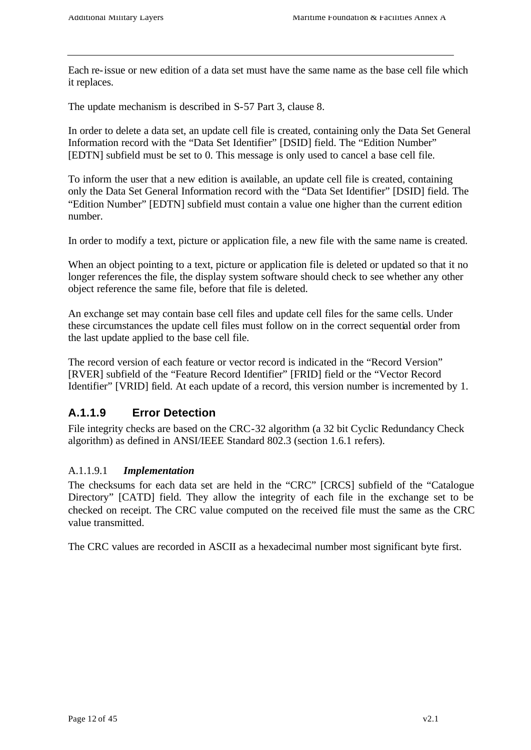Each re-issue or new edition of a data set must have the same name as the base cell file which it replaces.

The update mechanism is described in S-57 Part 3, clause 8.

In order to delete a data set, an update cell file is created, containing only the Data Set General Information record with the "Data Set Identifier" [DSID] field. The "Edition Number" [EDTN] subfield must be set to 0. This message is only used to cancel a base cell file.

To inform the user that a new edition is available, an update cell file is created, containing only the Data Set General Information record with the "Data Set Identifier" [DSID] field. The "Edition Number" [EDTN] subfield must contain a value one higher than the current edition number.

In order to modify a text, picture or application file, a new file with the same name is created.

When an object pointing to a text, picture or application file is deleted or updated so that it no longer references the file, the display system software should check to see whether any other object reference the same file, before that file is deleted.

An exchange set may contain base cell files and update cell files for the same cells. Under these circumstances the update cell files must follow on in the correct sequential order from the last update applied to the base cell file.

The record version of each feature or vector record is indicated in the "Record Version" [RVER] subfield of the "Feature Record Identifier" [FRID] field or the "Vector Record Identifier" [VRID] field. At each update of a record, this version number is incremented by 1.

### **A.1.1.9 Error Detection**

File integrity checks are based on the CRC-32 algorithm (a 32 bit Cyclic Redundancy Check algorithm) as defined in ANSI/IEEE Standard 802.3 (section 1.6.1 refers).

#### A.1.1.9.1 *Implementation*

The checksums for each data set are held in the "CRC" [CRCS] subfield of the "Catalogue Directory" [CATD] field. They allow the integrity of each file in the exchange set to be checked on receipt. The CRC value computed on the received file must the same as the CRC value transmitted.

The CRC values are recorded in ASCII as a hexadecimal number most significant byte first.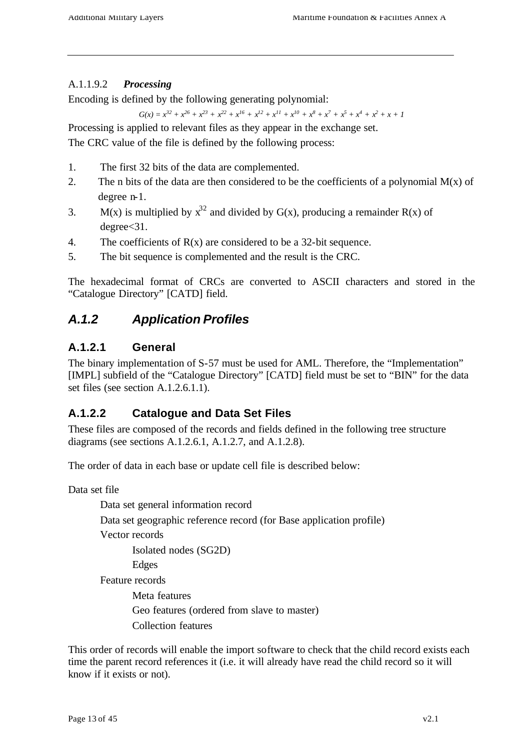#### A.1.1.9.2 *Processing*

Encoding is defined by the following generating polynomial:

 $G(x) = x^{32} + x^{26} + x^{23} + x^{22} + x^{16} + x^{12} + x^{11} + x^{10} + x^8 + x^7 + x^5 + x^4 + x^2 + x + 1$ 

Processing is applied to relevant files as they appear in the exchange set.

The CRC value of the file is defined by the following process:

- 1. The first 32 bits of the data are complemented.
- 2. The n bits of the data are then considered to be the coefficients of a polynomial  $M(x)$  of degree n-1.
- 3. M(x) is multiplied by  $x^{32}$  and divided by G(x), producing a remainder R(x) of degree<31.
- 4. The coefficients of  $R(x)$  are considered to be a 32-bit sequence.
- 5. The bit sequence is complemented and the result is the CRC.

The hexadecimal format of CRCs are converted to ASCII characters and stored in the "Catalogue Directory" [CATD] field.

### *A.1.2 Application Profiles*

### **A.1.2.1 General**

The binary implementation of S-57 must be used for AML. Therefore, the "Implementation" [IMPL] subfield of the "Catalogue Directory" [CATD] field must be set to "BIN" for the data set files (see section A.1.2.6.1.1).

### **A.1.2.2 Catalogue and Data Set Files**

These files are composed of the records and fields defined in the following tree structure diagrams (see sections A.1.2.6.1, A.1.2.7, and A.1.2.8).

The order of data in each base or update cell file is described below:

Data set file

Data set general information record Data set geographic reference record (for Base application profile) Vector records Isolated nodes (SG2D) Edges Feature records Meta features Geo features (ordered from slave to master) Collection features

This order of records will enable the import software to check that the child record exists each time the parent record references it (i.e. it will already have read the child record so it will know if it exists or not).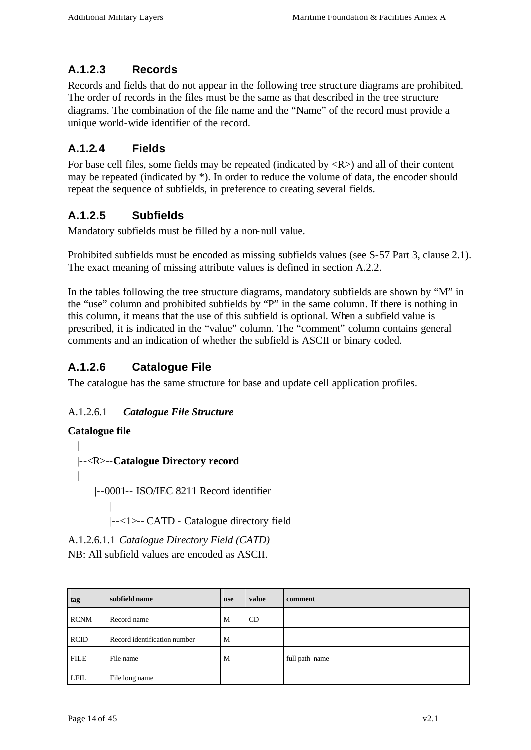### **A.1.2.3 Records**

Records and fields that do not appear in the following tree structure diagrams are prohibited. The order of records in the files must be the same as that described in the tree structure diagrams. The combination of the file name and the "Name" of the record must provide a unique world-wide identifier of the record.

### **A.1.2.4 Fields**

For base cell files, some fields may be repeated (indicated by  $\langle R \rangle$ ) and all of their content may be repeated (indicated by \*). In order to reduce the volume of data, the encoder should repeat the sequence of subfields, in preference to creating several fields.

### **A.1.2.5 Subfields**

Mandatory subfields must be filled by a non-null value.

Prohibited subfields must be encoded as missing subfields values (see S-57 Part 3, clause 2.1). The exact meaning of missing attribute values is defined in section A.2.2.

In the tables following the tree structure diagrams, mandatory subfields are shown by "M" in the "use" column and prohibited subfields by "P" in the same column. If there is nothing in this column, it means that the use of this subfield is optional. When a subfield value is prescribed, it is indicated in the "value" column. The "comment" column contains general comments and an indication of whether the subfield is ASCII or binary coded.

### **A.1.2.6 Catalogue File**

The catalogue has the same structure for base and update cell application profiles.

### A.1.2.6.1 *Catalogue File Structure*

#### **Catalogue file**

| |--<R>--**Catalogue Directory record** | |--0001-- ISO/IEC 8211 Record identifier | |--<1>-- CATD - Catalogue directory field

A.1.2.6.1.1 *Catalogue Directory Field (CATD)* NB: All subfield values are encoded as ASCII.

| tag         | subfield name                | <b>use</b> | value | comment        |
|-------------|------------------------------|------------|-------|----------------|
| <b>RCNM</b> | Record name                  | M          | CD    |                |
| <b>RCID</b> | Record identification number | M          |       |                |
| <b>FILE</b> | File name                    | M          |       | full path name |
| <b>LFIL</b> | File long name               |            |       |                |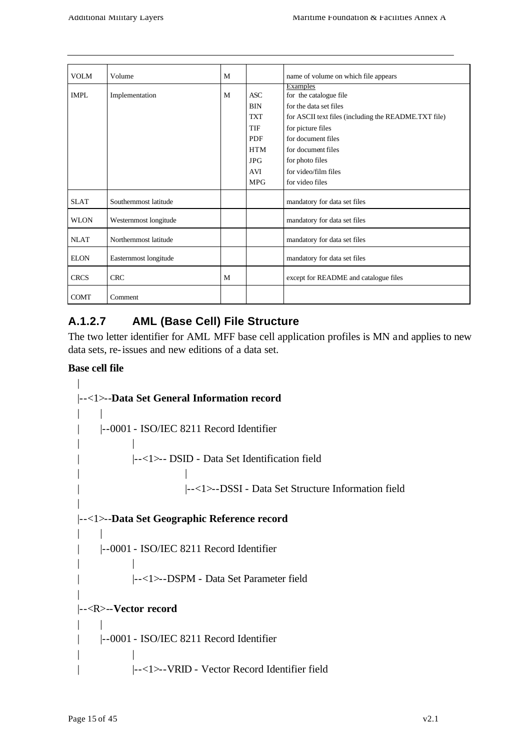| <b>VOLM</b> | Volume                | M |                                                                                                       | name of volume on which file appears                                                                                                                                                                                             |
|-------------|-----------------------|---|-------------------------------------------------------------------------------------------------------|----------------------------------------------------------------------------------------------------------------------------------------------------------------------------------------------------------------------------------|
| <b>IMPL</b> | Implementation        | M | ASC<br><b>BIN</b><br><b>TXT</b><br><b>TIF</b><br><b>PDF</b><br><b>HTM</b><br><b>JPG</b><br><b>AVI</b> | Examples<br>for the catalogue file<br>for the data set files<br>for ASCII text files (including the README.TXT file)<br>for picture files<br>for document files<br>for document files<br>for photo files<br>for video/film files |
|             |                       |   | <b>MPG</b>                                                                                            | for video files                                                                                                                                                                                                                  |
| <b>SLAT</b> | Southernmost latitude |   |                                                                                                       | mandatory for data set files                                                                                                                                                                                                     |
| <b>WLON</b> | Westernmost longitude |   |                                                                                                       | mandatory for data set files                                                                                                                                                                                                     |
| <b>NLAT</b> | Northernmost latitude |   |                                                                                                       | mandatory for data set files                                                                                                                                                                                                     |
| <b>ELON</b> | Easternmost longitude |   |                                                                                                       | mandatory for data set files                                                                                                                                                                                                     |
| <b>CRCS</b> | <b>CRC</b>            | M |                                                                                                       | except for README and catalogue files                                                                                                                                                                                            |
| <b>COMT</b> | Comment               |   |                                                                                                       |                                                                                                                                                                                                                                  |

### **A.1.2.7 AML (Base Cell) File Structure**

The two letter identifier for AML MFF base cell application profiles is MN and applies to new data sets, re-issues and new editions of a data set.

#### **Base cell file**

| |--<1>--**Data Set General Information record**  $\| \cdot \|$ | |--0001 - ISO/IEC 8211 Record Identifier | | | |--<1>-- DSID - Data Set Identification field | | | |--<1>--DSSI - Data Set Structure Information field | |--<1>--**Data Set Geographic Reference record**  $| \cdot |$ | |--0001 - ISO/IEC 8211 Record Identifier | | | |--<1>--DSPM - Data Set Parameter field | |--<R>--**Vector record** | | | |--0001 - ISO/IEC 8211 Record Identifier | | | |--<1>--VRID - Vector Record Identifier field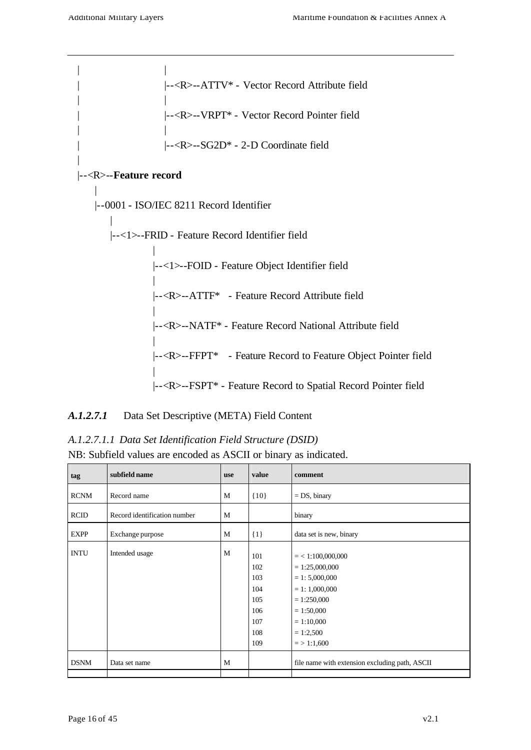| | | |--<R>--ATTV\* - Vector Record Attribute field | | | |--<R>--VRPT\* - Vector Record Pointer field | | | |--<R>--SG2D\* - 2-D Coordinate field | |--<R>--**Feature record** | |--0001 - ISO/IEC 8211 Record Identifier | |--<1>--FRID - Feature Record Identifier field | |--<1>--FOID - Feature Object Identifier field | |--<R>--ATTF\* - Feature Record Attribute field | |--<R>--NATF\* - Feature Record National Attribute field | |--<R>--FFPT\* - Feature Record to Feature Object Pointer field | |--<R>--FSPT\* - Feature Record to Spatial Record Pointer field

#### *A.1.2.7.1* Data Set Descriptive (META) Field Content

*A.1.2.7.1.1 Data Set Identification Field Structure (DSID)* NB: Subfield values are encoded as ASCII or binary as indicated.

| tag         | subfield name                | use | value                                                       | comment                                                                                                                                                          |  |
|-------------|------------------------------|-----|-------------------------------------------------------------|------------------------------------------------------------------------------------------------------------------------------------------------------------------|--|
| <b>RCNM</b> | Record name                  | M   | ${10}$                                                      | $= DS$ , binary                                                                                                                                                  |  |
| <b>RCID</b> | Record identification number | M   |                                                             | binary                                                                                                                                                           |  |
| <b>EXPP</b> | Exchange purpose             | M   | $\{1\}$                                                     | data set is new, binary                                                                                                                                          |  |
| <b>INTU</b> | Intended usage               | M   | 101<br>102<br>103<br>104<br>105<br>106<br>107<br>108<br>109 | $=$ < 1:100,000,000<br>$= 1:25,000,000$<br>$= 1: 5,000,000$<br>$= 1: 1,000,000$<br>$= 1:250,000$<br>$= 1:50,000$<br>$= 1:10,000$<br>$= 1:2,500$<br>$=$ > 1:1,600 |  |
| <b>DSNM</b> | Data set name                | M   |                                                             | file name with extension excluding path, ASCII                                                                                                                   |  |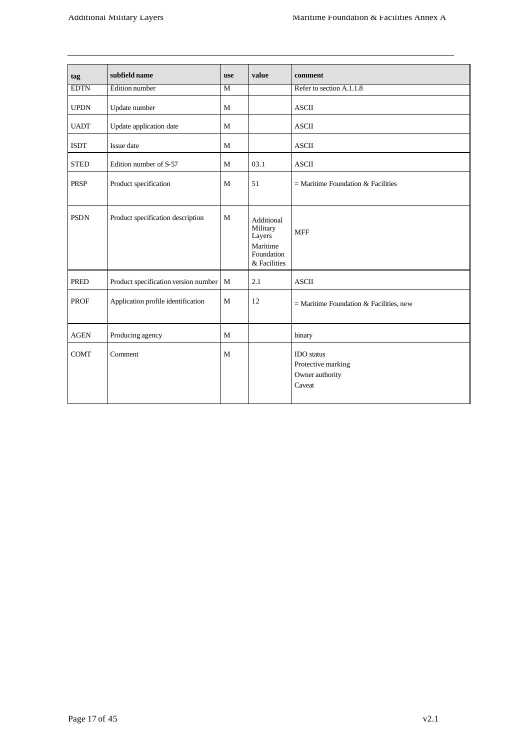| tag         | subfield name                        | <b>use</b>   | value                                                                      | comment                                                              |
|-------------|--------------------------------------|--------------|----------------------------------------------------------------------------|----------------------------------------------------------------------|
| <b>EDTN</b> | Edition number                       | M            |                                                                            | Refer to section A.1.1.8                                             |
| <b>UPDN</b> | Update number                        | M            |                                                                            | <b>ASCII</b>                                                         |
| <b>UADT</b> | Update application date              | M            |                                                                            | <b>ASCII</b>                                                         |
| <b>ISDT</b> | Issue date                           | $\mathbf{M}$ |                                                                            | <b>ASCII</b>                                                         |
| <b>STED</b> | Edition number of S-57               | $\mathbf{M}$ | 03.1                                                                       | <b>ASCII</b>                                                         |
| <b>PRSP</b> | Product specification                | M            | 51                                                                         | $=$ Maritime Foundation & Facilities                                 |
| <b>PSDN</b> | Product specification description    | M            | Additional<br>Military<br>Layers<br>Maritime<br>Foundation<br>& Facilities | <b>MFF</b>                                                           |
| <b>PRED</b> | Product specification version number | $\mathbf M$  | 2.1                                                                        | <b>ASCII</b>                                                         |
| <b>PROF</b> | Application profile identification   | M            | 12                                                                         | = Maritime Foundation $&$ Facilities, new                            |
| <b>AGEN</b> | Producing agency                     | $\mathbf{M}$ |                                                                            | binary                                                               |
| <b>COMT</b> | Comment                              | M            |                                                                            | <b>IDO</b> status<br>Protective marking<br>Owner authority<br>Caveat |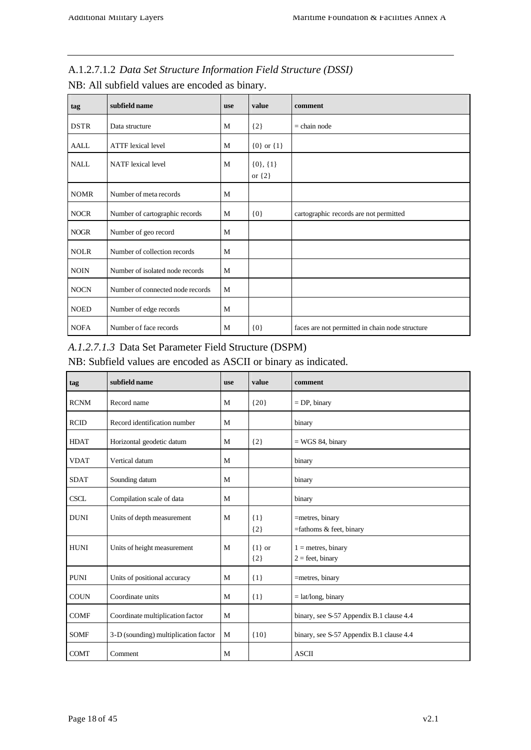| A.1.2.7.1.2 Data Set Structure Information Field Structure (DSSI) |  |
|-------------------------------------------------------------------|--|
| NB: All subfield values are encoded as binary.                    |  |

| tag         | subfield name                    | <b>use</b> | value                       | comment                                         |
|-------------|----------------------------------|------------|-----------------------------|-------------------------------------------------|
| <b>DSTR</b> | Data structure                   | M          | ${2}$                       | $=$ chain node                                  |
| <b>AALL</b> | <b>ATTF</b> lexical level        | M          | ${0}$ or ${1}$              |                                                 |
| <b>NALL</b> | <b>NATF</b> lexical level        | M          | $\{0\},\{1\}$<br>or $\{2\}$ |                                                 |
| <b>NOMR</b> | Number of meta records           | M          |                             |                                                 |
| <b>NOCR</b> | Number of cartographic records   | M          | ${0}$                       | cartographic records are not permitted          |
| <b>NOGR</b> | Number of geo record             | M          |                             |                                                 |
| <b>NOLR</b> | Number of collection records     | M          |                             |                                                 |
| <b>NOIN</b> | Number of isolated node records  | M          |                             |                                                 |
| <b>NOCN</b> | Number of connected node records | M          |                             |                                                 |
| <b>NOED</b> | Number of edge records           | M          |                             |                                                 |
| <b>NOFA</b> | Number of face records           | M          | ${0}$                       | faces are not permitted in chain node structure |

### *A.1.2.7.1.3* Data Set Parameter Field Structure (DSPM)

NB: Subfield values are encoded as ASCII or binary as indicated.

| tag         | subfield name                        | <b>use</b> | value               | comment                                    |
|-------------|--------------------------------------|------------|---------------------|--------------------------------------------|
| <b>RCNM</b> | Record name                          | M          | ${20}$              | $=$ DP, binary                             |
| <b>RCID</b> | Record identification number         | M          |                     | binary                                     |
| <b>HDAT</b> | Horizontal geodetic datum            | M          | ${2}$               | $=$ WGS 84, binary                         |
| <b>VDAT</b> | Vertical datum                       | M          |                     | binary                                     |
| <b>SDAT</b> | Sounding datum                       | M          |                     | binary                                     |
| <b>CSCL</b> | Compilation scale of data            | M          |                     | binary                                     |
| <b>DUNI</b> | Units of depth measurement           | M          | $\{1\}$<br>${2}$    | =metres, binary<br>=fathoms & feet, binary |
| <b>HUNI</b> | Units of height measurement          | M          | $\{1\}$ or<br>${2}$ | $1 =$ metres, binary<br>$2 =$ feet, binary |
| <b>PUNI</b> | Units of positional accuracy         | M          | $\{1\}$             | =metres, binary                            |
| <b>COUN</b> | Coordinate units                     | M          | $\{1\}$             | $=$ lat/long, binary                       |
| <b>COMF</b> | Coordinate multiplication factor     | M          |                     | binary, see S-57 Appendix B.1 clause 4.4   |
| <b>SOMF</b> | 3-D (sounding) multiplication factor | M          | ${10}$              | binary, see S-57 Appendix B.1 clause 4.4   |
| <b>COMT</b> | Comment                              | M          |                     | <b>ASCII</b>                               |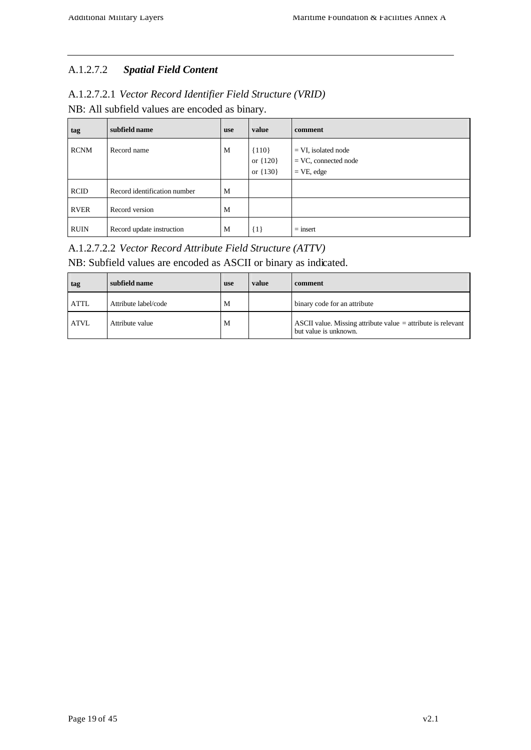### A.1.2.7.2 *Spatial Field Content*

| A.1.2.7.2.1 Vector Record Identifier Field Structure (VRID) |  |
|-------------------------------------------------------------|--|
| NB: All subfield values are encoded as binary.              |  |

| tag         | subfield name                | <b>use</b> | value                               | comment                                                          |
|-------------|------------------------------|------------|-------------------------------------|------------------------------------------------------------------|
| <b>RCNM</b> | Record name                  | M          | ${110}$<br>or ${120}$<br>or ${130}$ | $= VI$ , isolated node<br>$=$ VC, connected node<br>$=$ VE, edge |
| <b>RCID</b> | Record identification number | M          |                                     |                                                                  |
| <b>RVER</b> | Record version               | M          |                                     |                                                                  |
| <b>RUIN</b> | Record update instruction    | M          | $\{1\}$                             | $=$ insert                                                       |

### A.1.2.7.2.2 *Vector Record Attribute Field Structure (ATTV)*

### NB: Subfield values are encoded as ASCII or binary as indicated.

| tag         | subfield name        | <b>use</b> | value | comment                                                                                 |
|-------------|----------------------|------------|-------|-----------------------------------------------------------------------------------------|
| <b>ATTL</b> | Attribute label/code | М          |       | binary code for an attribute                                                            |
| <b>ATVL</b> | Attribute value      | М          |       | ASCII value. Missing attribute value $=$ attribute is relevant<br>but value is unknown. |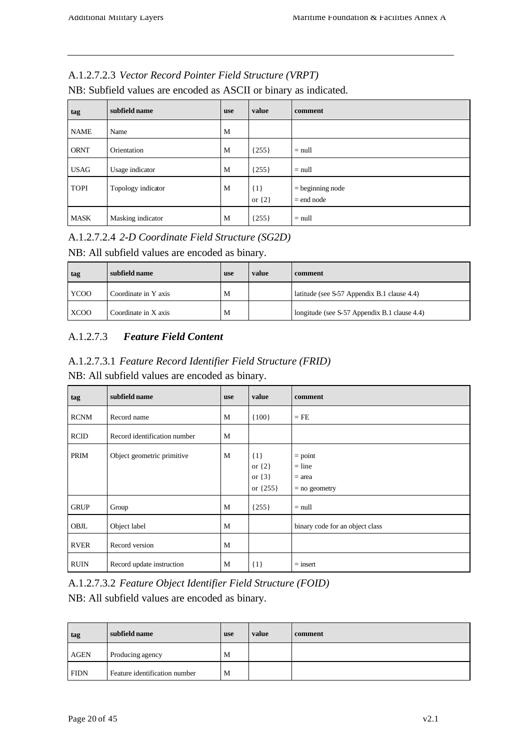### A.1.2.7.2.3 *Vector Record Pointer Field Structure (VRPT)*

| tag         | subfield name      | <b>use</b> | value                 | comment                            |
|-------------|--------------------|------------|-----------------------|------------------------------------|
| <b>NAME</b> | Name               | M          |                       |                                    |
| <b>ORNT</b> | Orientation        | M          | ${255}$               | $=$ null                           |
| <b>USAG</b> | Usage indicator    | M          | ${255}$               | $=$ null                           |
| <b>TOPI</b> | Topology indicator | M          | $\{1\}$<br>or $\{2\}$ | $=$ beginning node<br>$=$ end node |
| <b>MASK</b> | Masking indicator  | M          | ${255}$               | $=$ null                           |

NB: Subfield values are encoded as ASCII or binary as indicated.

### A.1.2.7.2.4 *2-D Coordinate Field Structure (SG2D)*

#### NB: All subfield values are encoded as binary.

| tag         | subfield name        | <b>use</b> | value | comment                                      |
|-------------|----------------------|------------|-------|----------------------------------------------|
| <b>YCOO</b> | Coordinate in Y axis | M          |       | latitude (see S-57 Appendix B.1 clause 4.4)  |
| <b>XCOO</b> | Coordinate in X axis | M          |       | longitude (see S-57 Appendix B.1 clause 4.4) |

### A.1.2.7.3 *Feature Field Content*

| A.1.2.7.3.1 Feature Record Identifier Field Structure (FRID) |  |
|--------------------------------------------------------------|--|
| NB: All subfield values are encoded as binary.               |  |

| tag         | subfield name                | <b>use</b> | value                                           | comment                                              |
|-------------|------------------------------|------------|-------------------------------------------------|------------------------------------------------------|
| <b>RCNM</b> | Record name                  | M          | ${100}$                                         | $=$ FE                                               |
| <b>RCID</b> | Record identification number | M          |                                                 |                                                      |
| PRIM        | Object geometric primitive   | M          | ${1}$<br>or $\{2\}$<br>or $\{3\}$<br>or ${255}$ | $=$ point<br>$=$ line<br>$=$ area<br>$=$ no geometry |
| <b>GRUP</b> | Group                        | M          | ${255}$                                         | $=$ null                                             |
| OBJL        | Object label                 | M          |                                                 | binary code for an object class                      |
| <b>RVER</b> | Record version               | M          |                                                 |                                                      |
| <b>RUIN</b> | Record update instruction    | M          | $\{1\}$                                         | $=$ insert                                           |

A.1.2.7.3.2 *Feature Object Identifier Field Structure (FOID)* NB: All subfield values are encoded as binary.

**tag subfield name use value comment** AGEN Producing agency M FIDN Feature identification number M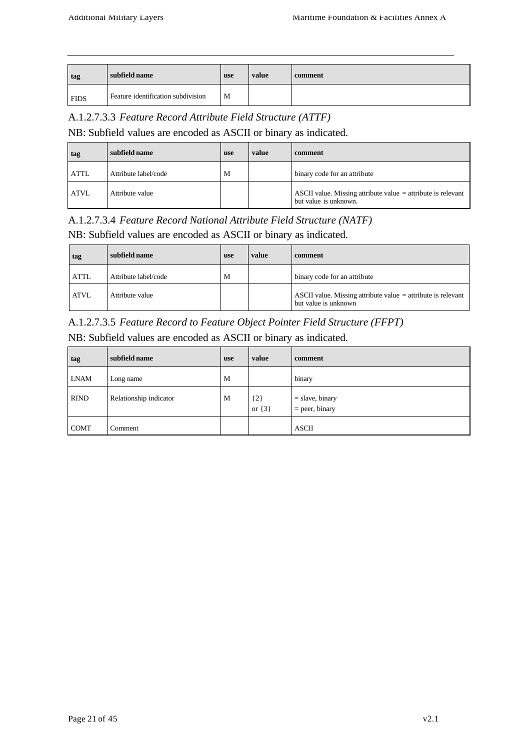| tag         | subfield name                      | use | value | comment |
|-------------|------------------------------------|-----|-------|---------|
| <b>FIDS</b> | Feature identification subdivision | M   |       |         |

#### A.1.2.7.3.3 *Feature Record Attribute Field Structure (ATTF)*

NB: Subfield values are encoded as ASCII or binary as indicated.

| tag         | subfield name        | <b>use</b> | value | comment                                                                                 |
|-------------|----------------------|------------|-------|-----------------------------------------------------------------------------------------|
| <b>ATTL</b> | Attribute label/code | M          |       | binary code for an attribute                                                            |
| <b>ATVL</b> | Attribute value      |            |       | ASCII value. Missing attribute value $=$ attribute is relevant<br>but value is unknown. |

### A.1.2.7.3.4 *Feature Record National Attribute Field Structure (NATF)*

NB: Subfield values are encoded as ASCII or binary as indicated.

| tag         | subfield name        | use | value | comment                                                                                |
|-------------|----------------------|-----|-------|----------------------------------------------------------------------------------------|
| <b>ATTL</b> | Attribute label/code | M   |       | binary code for an attribute                                                           |
| <b>ATVL</b> | Attribute value      |     |       | ASCII value. Missing attribute value $=$ attribute is relevant<br>but value is unknown |

### A.1.2.7.3.5 *Feature Record to Feature Object Pointer Field Structure (FFPT)*

NB: Subfield values are encoded as ASCII or binary as indicated.

| tag         | subfield name          | <b>use</b> | value               | comment                               |
|-------------|------------------------|------------|---------------------|---------------------------------------|
| <b>LNAM</b> | Long name              | M          |                     | binary                                |
| <b>RIND</b> | Relationship indicator | M          | ${2}$<br>or $\{3\}$ | $=$ slave, binary<br>$=$ peer, binary |
| <b>COMT</b> | Comment                |            |                     | <b>ASCII</b>                          |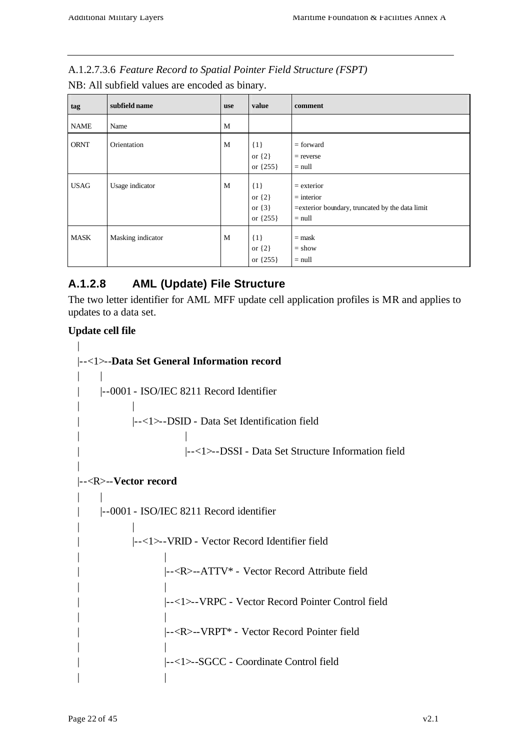| A.1.2.7.3.6 Feature Record to Spatial Pointer Field Structure (FSPT) |
|----------------------------------------------------------------------|
|----------------------------------------------------------------------|

NB: All subfield values are encoded as binary.

| tag         | subfield name     | <b>use</b> | value                                           | comment                                                                                      |
|-------------|-------------------|------------|-------------------------------------------------|----------------------------------------------------------------------------------------------|
| <b>NAME</b> | Name              | M          |                                                 |                                                                                              |
| <b>ORNT</b> | Orientation       | M          | $\{1\}$<br>or $\{2\}$<br>or ${255}$             | $=$ forward<br>$=$ reverse<br>$=$ null                                                       |
| <b>USAG</b> | Usage indicator   | M          | ${1}$<br>or $\{2\}$<br>or $\{3\}$<br>or ${255}$ | $=$ exterior<br>$=$ interior<br>= exterior boundary, truncated by the data limit<br>$=$ null |
| <b>MASK</b> | Masking indicator | M          | ${1}$<br>or $\{2\}$<br>or ${255}$               | $=$ mask<br>$=$ show<br>$=$ null                                                             |

### **A.1.2.8 AML (Update) File Structure**

The two letter identifier for AML MFF update cell application profiles is MR and applies to updates to a data set.

### **Update cell file**

```
|
|--<1>--Data Set General Information record
\| \cdot \|| |--0001 - ISO/IEC 8211 Record Identifier
| |
          | |--<1>--DSID - Data Set Identification field
| |
                    | |--<1>--DSSI - Data Set Structure Information field
|
|--<R>--Vector record
| \cdot || |--0001 - ISO/IEC 8211 Record identifier
| |
          | |--<1>--VRID - Vector Record Identifier field
| |
                | |--<R>--ATTV* - Vector Record Attribute field
| |
                | |--<1>--VRPC - Vector Record Pointer Control field
| |
                | |--<R>--VRPT* - Vector Record Pointer field
| |
                | |--<1>--SGCC - Coordinate Control field
| |
```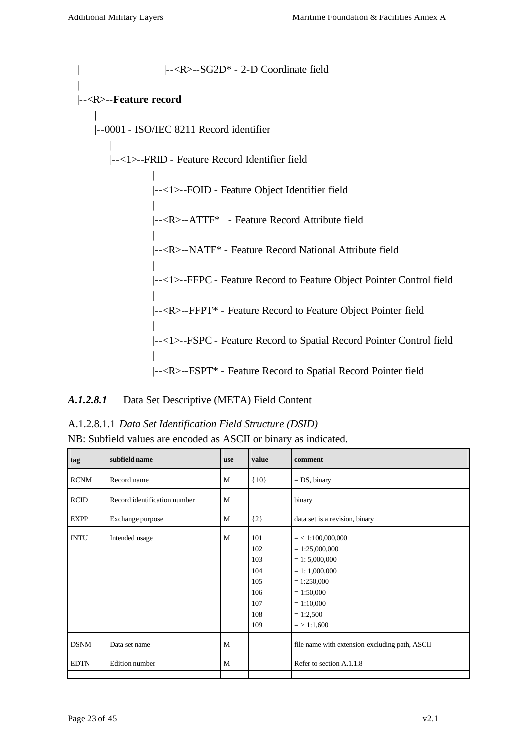| |--<R>--SG2D\* - 2-D Coordinate field | |--<R>--**Feature record** | |--0001 - ISO/IEC 8211 Record identifier | |--<1>--FRID - Feature Record Identifier field | |--<1>--FOID - Feature Object Identifier field | |--<R>--ATTF\* - Feature Record Attribute field | |--<R>--NATF\* - Feature Record National Attribute field | |--<1>--FFPC - Feature Record to Feature Object Pointer Control field | |--<R>--FFPT\* - Feature Record to Feature Object Pointer field | |--<1>--FSPC - Feature Record to Spatial Record Pointer Control field | |--<R>--FSPT\* - Feature Record to Spatial Record Pointer field

#### *A.1.2.8.1* Data Set Descriptive (META) Field Content

| A.1.2.8.1.1 Data Set Identification Field Structure (DSID)       |
|------------------------------------------------------------------|
| NB: Subfield values are encoded as ASCII or binary as indicated. |

| tag         | subfield name                | <b>use</b> | value                                                       | comment                                                                                                                                                          |
|-------------|------------------------------|------------|-------------------------------------------------------------|------------------------------------------------------------------------------------------------------------------------------------------------------------------|
| <b>RCNM</b> | Record name                  | M          | ${10}$                                                      | $= DS$ , binary                                                                                                                                                  |
| <b>RCID</b> | Record identification number | M          |                                                             | binary                                                                                                                                                           |
| <b>EXPP</b> | Exchange purpose             | M          | $\{2\}$                                                     | data set is a revision, binary                                                                                                                                   |
| <b>INTU</b> | Intended usage               | M          | 101<br>102<br>103<br>104<br>105<br>106<br>107<br>108<br>109 | $=$ < 1:100,000,000<br>$= 1:25,000,000$<br>$= 1: 5,000,000$<br>$= 1: 1,000,000$<br>$= 1:250,000$<br>$= 1:50,000$<br>$= 1:10,000$<br>$= 1:2,500$<br>$=$ > 1:1,600 |
| <b>DSNM</b> | Data set name                | M          |                                                             | file name with extension excluding path, ASCII                                                                                                                   |
| <b>EDTN</b> | Edition number               | M          |                                                             | Refer to section A.1.1.8                                                                                                                                         |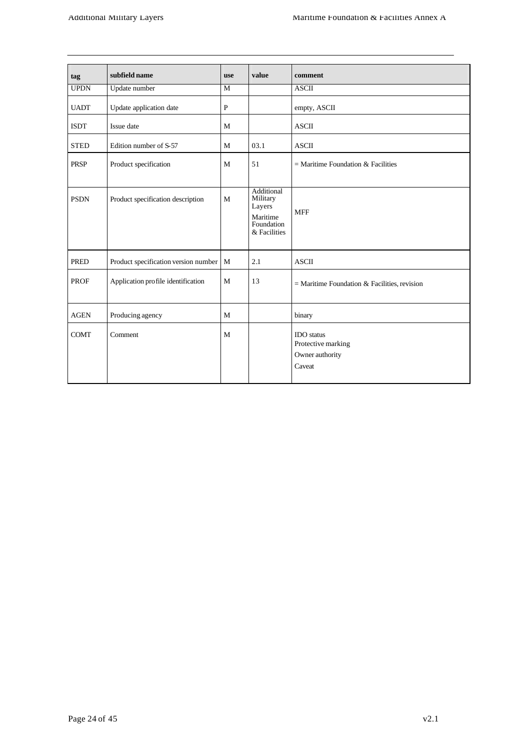| tag         | subfield name                            | <b>use</b>   | value                                                                      | comment                                                              |
|-------------|------------------------------------------|--------------|----------------------------------------------------------------------------|----------------------------------------------------------------------|
| <b>UPDN</b> | Update number                            | M            |                                                                            | <b>ASCII</b>                                                         |
| <b>UADT</b> | Update application date                  | $\mathbf{P}$ |                                                                            | empty, ASCII                                                         |
| <b>ISDT</b> | Issue date                               | M            |                                                                            | <b>ASCII</b>                                                         |
| <b>STED</b> | Edition number of S-57                   | M            | 03.1                                                                       | <b>ASCII</b>                                                         |
| <b>PRSP</b> | Product specification                    | M            | 51                                                                         | $=$ Maritime Foundation & Facilities                                 |
| <b>PSDN</b> | Product specification description        | M            | Additional<br>Military<br>Layers<br>Maritime<br>Foundation<br>& Facilities | <b>MFF</b>                                                           |
| <b>PRED</b> | Product specification version number   M |              | 2.1                                                                        | <b>ASCII</b>                                                         |
| <b>PROF</b> | Application profile identification       | M            | 13                                                                         | $=$ Maritime Foundation & Facilities, revision                       |
| <b>AGEN</b> | Producing agency                         | M            |                                                                            | binary                                                               |
| <b>COMT</b> | Comment                                  | M            |                                                                            | <b>IDO</b> status<br>Protective marking<br>Owner authority<br>Caveat |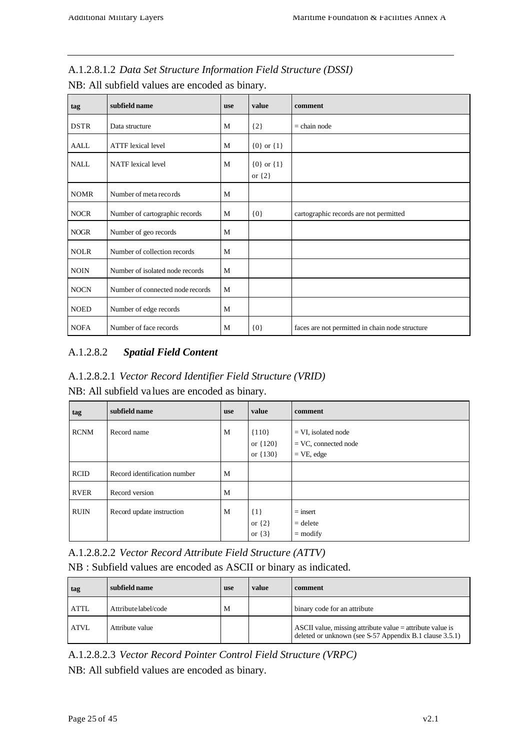| tag         | subfield name                    | use | value                        | comment                                         |
|-------------|----------------------------------|-----|------------------------------|-------------------------------------------------|
| <b>DSTR</b> | Data structure                   | M   | ${2}$                        | $=$ chain node                                  |
| AALL        | <b>ATTF</b> lexical level        | M   | ${0}$ or ${1}$               |                                                 |
| NALL.       | <b>NATF</b> lexical level        | M   | ${0}$ or ${1}$<br>or $\{2\}$ |                                                 |
| <b>NOMR</b> | Number of meta records           | M   |                              |                                                 |
| <b>NOCR</b> | Number of cartographic records   | M   | $\{0\}$                      | cartographic records are not permitted          |
| <b>NOGR</b> | Number of geo records            | M   |                              |                                                 |
| <b>NOLR</b> | Number of collection records     | M   |                              |                                                 |
| <b>NOIN</b> | Number of isolated node records  | M   |                              |                                                 |
| <b>NOCN</b> | Number of connected node records | M   |                              |                                                 |
| <b>NOED</b> | Number of edge records           | M   |                              |                                                 |
| <b>NOFA</b> | Number of face records           | M   | ${0}$                        | faces are not permitted in chain node structure |

A.1.2.8.1.2 *Data Set Structure Information Field Structure (DSSI)*

NB: All subfield values are encoded as binary.

### A.1.2.8.2 *Spatial Field Content*

### A.1.2.8.2.1 *Vector Record Identifier Field Structure (VRID)*

NB: All subfield va lues are encoded as binary.

| tag         | subfield name                | use | value                                 | comment                                                          |
|-------------|------------------------------|-----|---------------------------------------|------------------------------------------------------------------|
| <b>RCNM</b> | Record name                  | M   | ${110}$<br>or $\{120\}$<br>or ${130}$ | $= VI$ , isolated node<br>$=$ VC, connected node<br>$=$ VE, edge |
| <b>RCID</b> | Record identification number | M   |                                       |                                                                  |
| <b>RVER</b> | Record version               | M   |                                       |                                                                  |
| <b>RUIN</b> | Record update instruction    | M   | $\{1\}$<br>or $\{2\}$<br>or $\{3\}$   | $=$ insert<br>$=$ delete<br>$=$ modify                           |

A.1.2.8.2.2 *Vector Record Attribute Field Structure (ATTV)* NB : Subfield values are encoded as ASCII or binary as indicated.

| tag         | subfield name        | <b>use</b> | value | comment                                                                                                                |
|-------------|----------------------|------------|-------|------------------------------------------------------------------------------------------------------------------------|
| <b>ATTL</b> | Attribute label/code | M          |       | binary code for an attribute                                                                                           |
| <b>ATVL</b> | Attribute value      |            |       | ASCII value, missing attribute value $=$ attribute value is<br>deleted or unknown (see S-57 Appendix B.1 clause 3.5.1) |

A.1.2.8.2.3 *Vector Record Pointer Control Field Structure (VRPC)*

NB: All subfield values are encoded as binary.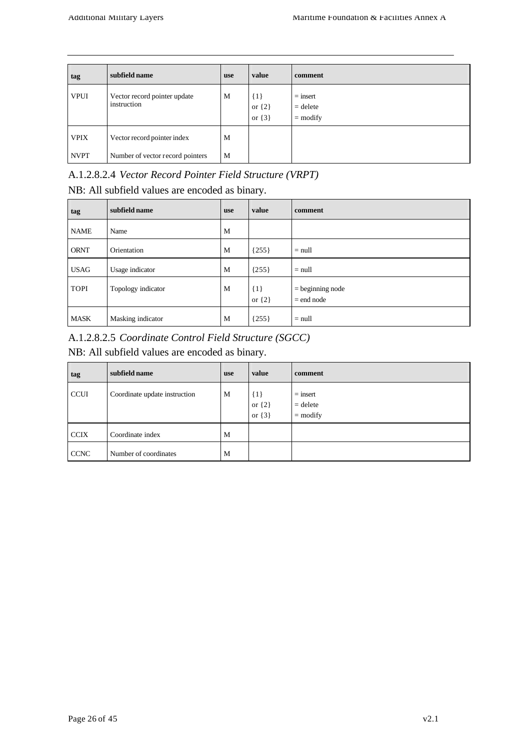| tag         | subfield name                               | <b>use</b> | value                             | comment                                |
|-------------|---------------------------------------------|------------|-----------------------------------|----------------------------------------|
| <b>VPUI</b> | Vector record pointer update<br>instruction | M          | ${1}$<br>or $\{2\}$<br>or $\{3\}$ | $=$ insert<br>$=$ delete<br>$=$ modify |
| <b>VPIX</b> | Vector record pointer index                 | M          |                                   |                                        |
| <b>NVPT</b> | Number of vector record pointers            | M          |                                   |                                        |

# A.1.2.8.2.4 *Vector Record Pointer Field Structure (VRPT)*

NB: All subfield values are encoded as binary.

| tag         | subfield name      | use | value               | comment                            |
|-------------|--------------------|-----|---------------------|------------------------------------|
| <b>NAME</b> | Name               | M   |                     |                                    |
| <b>ORNT</b> | Orientation        | M   | ${255}$             | $=$ null                           |
| <b>USAG</b> | Usage indicator    | M   | ${255}$             | $=$ null                           |
| <b>TOPI</b> | Topology indicator | M   | ${1}$<br>or $\{2\}$ | $=$ beginning node<br>$=$ end node |
| <b>MASK</b> | Masking indicator  | M   | ${255}$             | $=$ null                           |

A.1.2.8.2.5 *Coordinate Control Field Structure (SGCC)*

NB: All subfield values are encoded as binary.

| tag         | subfield name                 | <b>use</b> | value                               | comment                                |
|-------------|-------------------------------|------------|-------------------------------------|----------------------------------------|
| <b>CCUI</b> | Coordinate update instruction | M          | $\{1\}$<br>or $\{2\}$<br>or $\{3\}$ | $=$ insert<br>$=$ delete<br>$=$ modify |
| <b>CCIX</b> | Coordinate index              | M          |                                     |                                        |
| <b>CCNC</b> | Number of coordinates         | M          |                                     |                                        |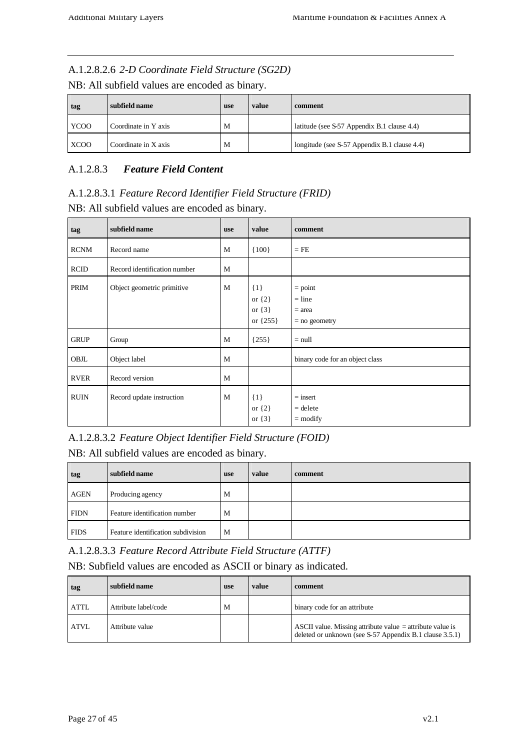#### A.1.2.8.2.6 *2-D Coordinate Field Structure (SG2D)*

NB: All subfield values are encoded as binary.

| tag         | subfield name        | <b>use</b> | value | comment                                      |
|-------------|----------------------|------------|-------|----------------------------------------------|
| YCOO        | Coordinate in Y axis | М          |       | latitude (see S-57 Appendix B.1 clause 4.4)  |
| <b>XCOO</b> | Coordinate in X axis | M          |       | longitude (see S-57 Appendix B.1 clause 4.4) |

#### A.1.2.8.3 *Feature Field Content*

A.1.2.8.3.1 *Feature Record Identifier Field Structure (FRID)* NB: All subfield values are encoded as binary.

| tag         | subfield name                | <b>use</b> | value                                             | comment                                              |
|-------------|------------------------------|------------|---------------------------------------------------|------------------------------------------------------|
| <b>RCNM</b> | Record name                  | M          | ${100}$                                           | $=$ FE                                               |
| <b>RCID</b> | Record identification number | M          |                                                   |                                                      |
| PRIM        | Object geometric primitive   | M          | $\{1\}$<br>or $\{2\}$<br>or $\{3\}$<br>or ${255}$ | $=$ point<br>$=$ line<br>$=$ area<br>$=$ no geometry |
| <b>GRUP</b> | Group                        | M          | ${255}$                                           | $=$ null                                             |
| OBJL        | Object label                 | M          |                                                   | binary code for an object class                      |
| <b>RVER</b> | Record version               | M          |                                                   |                                                      |
| <b>RUIN</b> | Record update instruction    | M          | $\{1\}$<br>or $\{2\}$<br>or $\{3\}$               | $=$ insert<br>$=$ delete<br>$=$ modify               |

A.1.2.8.3.2 *Feature Object Identifier Field Structure (FOID)*

NB: All subfield values are encoded as binary.

| tag         | subfield name                      | use | value | comment |
|-------------|------------------------------------|-----|-------|---------|
| <b>AGEN</b> | Producing agency                   | M   |       |         |
| <b>FIDN</b> | Feature identification number      | M   |       |         |
| <b>FIDS</b> | Feature identification subdivision | M   |       |         |

A.1.2.8.3.3 *Feature Record Attribute Field Structure (ATTF)*

NB: Subfield values are encoded as ASCII or binary as indicated.

| tag         | subfield name        | use | value | comment                                                                                                                |
|-------------|----------------------|-----|-------|------------------------------------------------------------------------------------------------------------------------|
| <b>ATTL</b> | Attribute label/code | M   |       | binary code for an attribute                                                                                           |
| <b>ATVL</b> | Attribute value      |     |       | ASCII value. Missing attribute value $=$ attribute value is<br>deleted or unknown (see S-57 Appendix B.1 clause 3.5.1) |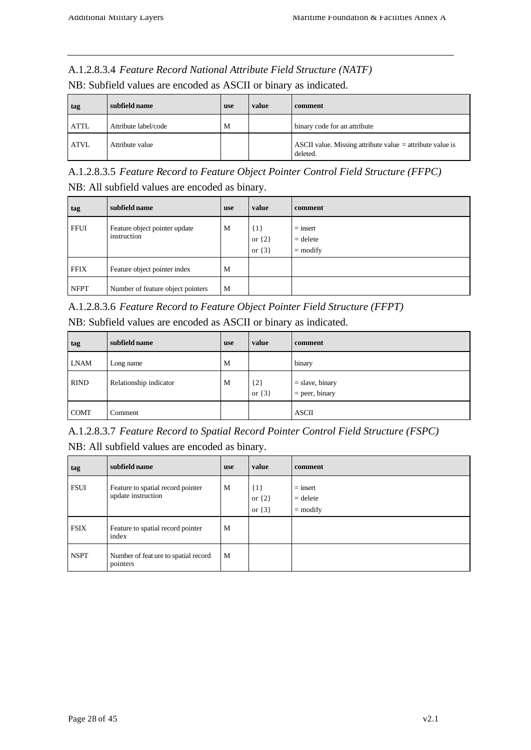#### A.1.2.8.3.4 *Feature Record National Attribute Field Structure (NATF)*

NB: Subfield values are encoded as ASCII or binary as indicated.

| tag         | subfield name        | <b>use</b> | value | comment                                                                 |
|-------------|----------------------|------------|-------|-------------------------------------------------------------------------|
| <b>ATTL</b> | Attribute label/code | М          |       | binary code for an attribute                                            |
| <b>ATVL</b> | Attribute value      |            |       | ASCII value. Missing attribute value $=$ attribute value is<br>deleted. |

A.1.2.8.3.5 *Feature Record to Feature Object Pointer Control Field Structure (FFPC)* NB: All subfield values are encoded as binary.

| tag         | subfield name                                | <b>use</b> | value                               | comment                                |
|-------------|----------------------------------------------|------------|-------------------------------------|----------------------------------------|
| <b>FFUI</b> | Feature object pointer update<br>instruction | M          | $\{1\}$<br>or $\{2\}$<br>or $\{3\}$ | $=$ insert<br>$=$ delete<br>$=$ modify |
| <b>FFIX</b> | Feature object pointer index                 | M          |                                     |                                        |
| <b>NFPT</b> | Number of feature object pointers            | M          |                                     |                                        |

A.1.2.8.3.6 *Feature Record to Feature Object Pointer Field Structure (FFPT)*

| NB: Subfield values are encoded as ASCII or binary as indicated. |  |
|------------------------------------------------------------------|--|
|------------------------------------------------------------------|--|

| tag         | subfield name          | <b>use</b> | value               | comment                               |
|-------------|------------------------|------------|---------------------|---------------------------------------|
| <b>LNAM</b> | Long name              | M          |                     | binary                                |
| <b>RIND</b> | Relationship indicator | M          | ${2}$<br>or $\{3\}$ | $=$ slave, binary<br>$=$ peer, binary |
| <b>COMT</b> | Comment                |            |                     | <b>ASCII</b>                          |

A.1.2.8.3.7 *Feature Record to Spatial Record Pointer Control Field Structure (FSPC)* NB: All subfield values are encoded as binary.

| tag         | subfield name                                           | <b>use</b> | value                             | comment                                |
|-------------|---------------------------------------------------------|------------|-----------------------------------|----------------------------------------|
| <b>FSUI</b> | Feature to spatial record pointer<br>update instruction | M          | ${1}$<br>or $\{2\}$<br>or $\{3\}$ | $=$ insert<br>$=$ delete<br>$=$ modify |
| <b>FSIX</b> | Feature to spatial record pointer<br>index              | M          |                                   |                                        |
| <b>NSPT</b> | Number of feat ure to spatial record<br>pointers        | M          |                                   |                                        |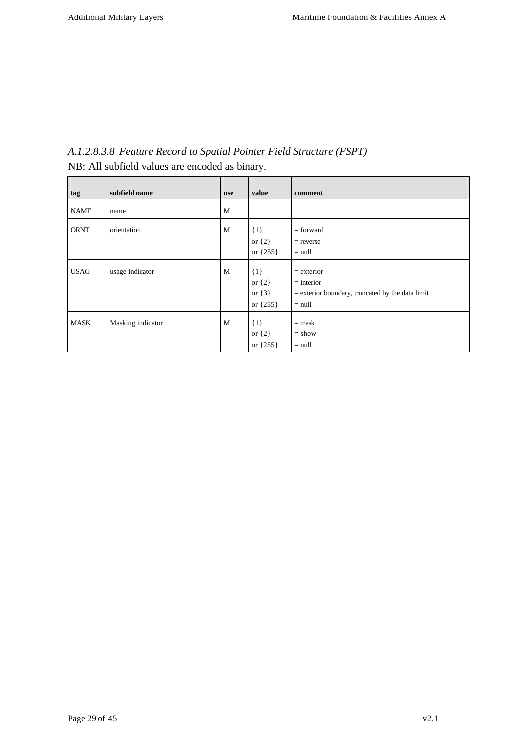| tag         | subfield name     | use | value                                             | comment                                                                                        |
|-------------|-------------------|-----|---------------------------------------------------|------------------------------------------------------------------------------------------------|
| <b>NAME</b> | name              | M   |                                                   |                                                                                                |
| <b>ORNT</b> | orientation       | M   | $\{1\}$<br>or $\{2\}$<br>or ${255}$               | $=$ forward<br>$=$ reverse<br>$=$ null                                                         |
| <b>USAG</b> | usage indicator   | M   | $\{1\}$<br>or $\{2\}$<br>or $\{3\}$<br>or ${255}$ | $=$ exterior<br>$=$ interior<br>$=$ exterior boundary, truncated by the data limit<br>$=$ null |
| <b>MASK</b> | Masking indicator | M   | ${1}$<br>or $\{2\}$<br>or $\{255\}$               | $=$ mask<br>$=$ show<br>$=$ null                                                               |

*A.1.2.8.3.8 Feature Record to Spatial Pointer Field Structure (FSPT)* NB: All subfield values are encoded as binary.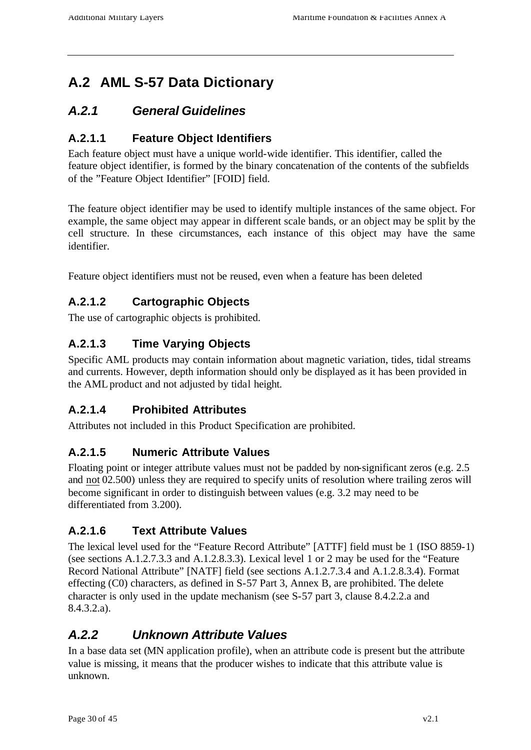# **A.2 AML S-57 Data Dictionary**

### *A.2.1 General Guidelines*

### **A.2.1.1 Feature Object Identifiers**

Each feature object must have a unique world-wide identifier. This identifier, called the feature object identifier, is formed by the binary concatenation of the contents of the subfields of the "Feature Object Identifier" [FOID] field.

The feature object identifier may be used to identify multiple instances of the same object. For example, the same object may appear in different scale bands, or an object may be split by the cell structure. In these circumstances, each instance of this object may have the same identifier.

Feature object identifiers must not be reused, even when a feature has been deleted

### **A.2.1.2 Cartographic Objects**

The use of cartographic objects is prohibited.

### **A.2.1.3 Time Varying Objects**

Specific AML products may contain information about magnetic variation, tides, tidal streams and currents. However, depth information should only be displayed as it has been provided in the AML product and not adjusted by tidal height.

### **A.2.1.4 Prohibited Attributes**

Attributes not included in this Product Specification are prohibited.

### **A.2.1.5 Numeric Attribute Values**

Floating point or integer attribute values must not be padded by non-significant zeros (e.g. 2.5 and not 02.500) unless they are required to specify units of resolution where trailing zeros will become significant in order to distinguish between values (e.g. 3.2 may need to be differentiated from 3.200).

### **A.2.1.6 Text Attribute Values**

The lexical level used for the "Feature Record Attribute" [ATTF] field must be 1 (ISO 8859-1) (see sections A.1.2.7.3.3 and A.1.2.8.3.3). Lexical level 1 or 2 may be used for the "Feature Record National Attribute" [NATF] field (see sections A.1.2.7.3.4 and A.1.2.8.3.4). Format effecting (C0) characters, as defined in S-57 Part 3, Annex B, are prohibited. The delete character is only used in the update mechanism (see S-57 part 3, clause 8.4.2.2.a and 8.4.3.2.a).

# *A.2.2 Unknown Attribute Values*

In a base data set (MN application profile), when an attribute code is present but the attribute value is missing, it means that the producer wishes to indicate that this attribute value is unknown.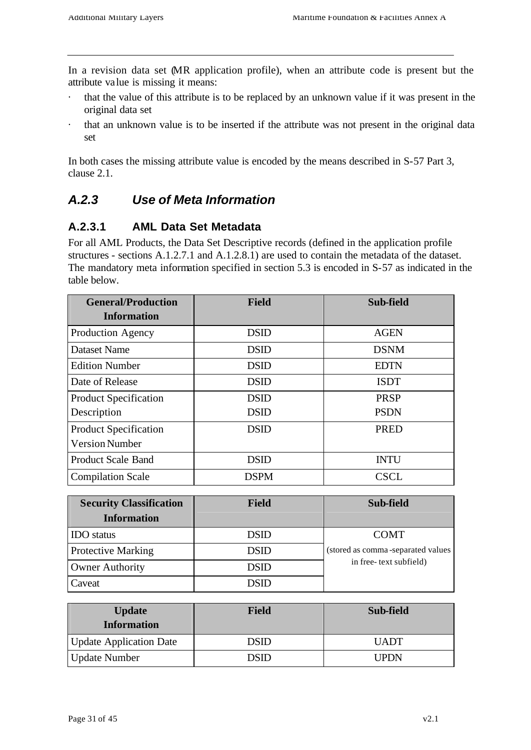In a revision data set (MR application profile), when an attribute code is present but the attribute value is missing it means:

- · that the value of this attribute is to be replaced by an unknown value if it was present in the original data set
- · that an unknown value is to be inserted if the attribute was not present in the original data set

In both cases the missing attribute value is encoded by the means described in S-57 Part 3, clause 2.1.

# *A.2.3 Use of Meta Information*

### **A.2.3.1 AML Data Set Metadata**

For all AML Products, the Data Set Descriptive records (defined in the application profile structures - sections A.1.2.7.1 and A.1.2.8.1) are used to contain the metadata of the dataset. The mandatory meta information specified in section 5.3 is encoded in S-57 as indicated in the table below.

| <b>General/Production</b><br><b>Information</b> | <b>Field</b> | Sub-field   |
|-------------------------------------------------|--------------|-------------|
| Production Agency                               | <b>DSID</b>  | <b>AGEN</b> |
| <b>Dataset Name</b>                             | <b>DSID</b>  | <b>DSNM</b> |
| <b>Edition Number</b>                           | <b>DSID</b>  | <b>EDTN</b> |
| Date of Release                                 | <b>DSID</b>  | <b>ISDT</b> |
| <b>Product Specification</b>                    | <b>DSID</b>  | <b>PRSP</b> |
| Description                                     | <b>DSID</b>  | <b>PSDN</b> |
| <b>Product Specification</b>                    | <b>DSID</b>  | <b>PRED</b> |
| <b>Version Number</b>                           |              |             |
| <b>Product Scale Band</b>                       | <b>DSID</b>  | <b>INTU</b> |
| <b>Compilation Scale</b>                        | <b>DSPM</b>  | <b>CSCL</b> |

| <b>Security Classification</b><br><b>Information</b> | <b>Field</b> | Sub-field                          |
|------------------------------------------------------|--------------|------------------------------------|
| <b>IDO</b> status                                    | <b>DSID</b>  | <b>COMT</b>                        |
| <b>Protective Marking</b>                            | <b>DSID</b>  | (stored as comma-separated values) |
| <b>Owner Authority</b>                               | <b>DSID</b>  | in free-text subfield)             |
| Caveat                                               | DSID         |                                    |

| <b>Update</b><br><b>Information</b> | Field | Sub-field   |  |
|-------------------------------------|-------|-------------|--|
| <b>Update Application Date</b>      | DSID  | <b>UADT</b> |  |
| <b>Update Number</b>                | DSID  | UPDN        |  |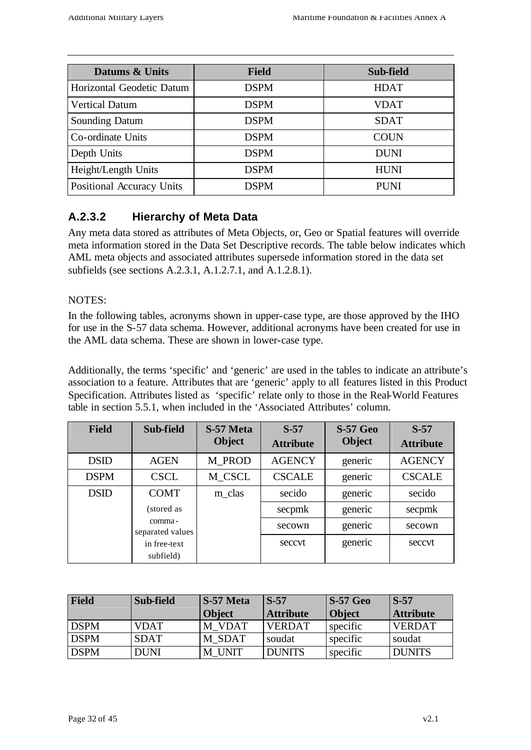| Datums & Units            | <b>Field</b> | Sub-field   |
|---------------------------|--------------|-------------|
| Horizontal Geodetic Datum | <b>DSPM</b>  | <b>HDAT</b> |
| <b>Vertical Datum</b>     | <b>DSPM</b>  | <b>VDAT</b> |
| <b>Sounding Datum</b>     | <b>DSPM</b>  | <b>SDAT</b> |
| Co-ordinate Units         | <b>DSPM</b>  | <b>COUN</b> |
| Depth Units               | <b>DSPM</b>  | <b>DUNI</b> |
| Height/Length Units       | <b>DSPM</b>  | <b>HUNI</b> |
| Positional Accuracy Units | <b>DSPM</b>  | <b>PUNI</b> |

### **A.2.3.2 Hierarchy of Meta Data**

Any meta data stored as attributes of Meta Objects, or, Geo or Spatial features will override meta information stored in the Data Set Descriptive records. The table below indicates which AML meta objects and associated attributes supersede information stored in the data set subfields (see sections A.2.3.1, A.1.2.7.1, and A.1.2.8.1).

#### NOTES:

In the following tables, acronyms shown in upper-case type, are those approved by the IHO for use in the S-57 data schema. However, additional acronyms have been created for use in the AML data schema. These are shown in lower-case type.

Additionally, the terms 'specific' and 'generic' are used in the tables to indicate an attribute's association to a feature. Attributes that are 'generic' apply to all features listed in this Product Specification. Attributes listed as 'specific' relate only to those in the Real-World Features table in section 5.5.1, when included in the 'Associated Attributes' column.

| <b>Field</b> | Sub-field                  | S-57 Meta<br><b>Object</b> | $S-57$<br><b>Attribute</b> | <b>S-57 Geo</b><br><b>Object</b> | $S-57$<br><b>Attribute</b> |
|--------------|----------------------------|----------------------------|----------------------------|----------------------------------|----------------------------|
| <b>DSID</b>  | <b>AGEN</b>                | M PROD                     | <b>AGENCY</b>              | generic                          | <b>AGENCY</b>              |
| <b>DSPM</b>  | <b>CSCL</b>                | M_CSCL                     | <b>CSCALE</b>              | generic                          | <b>CSCALE</b>              |
| <b>DSID</b>  | <b>COMT</b>                | m_clas                     | secido                     | generic                          | secido                     |
|              | (stored as                 |                            | secpmk                     | generic                          | secpmk                     |
|              | comma-<br>separated values |                            | secown                     | generic                          | secown                     |
|              | in free-text               |                            | seccyt                     | generic                          | seccvt                     |
|              | subfield)                  |                            |                            |                                  |                            |

| Field       | Sub-field   | S-57 Meta     | $S-57$           | $S-57$ Geo    | $\mathbf{S}$ -57 |
|-------------|-------------|---------------|------------------|---------------|------------------|
|             |             | <b>Object</b> | <b>Attribute</b> | <b>Object</b> | <b>Attribute</b> |
| <b>DSPM</b> | <b>VDAT</b> | M VDAT        | <b>VERDAT</b>    | specific      | <b>VERDAT</b>    |
| <b>DSPM</b> | <b>SDAT</b> | M SDAT        | soudat           | specific      | soudat           |
| <b>DSPM</b> | <b>DUNI</b> | M UNIT        | <b>DUNITS</b>    | specific      | <b>DUNITS</b>    |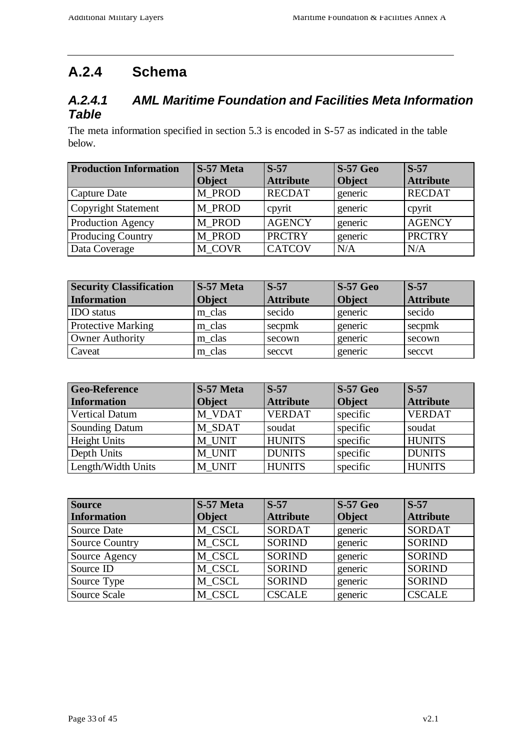# **A.2.4 Schema**

### *A.2.4.1 AML Maritime Foundation and Facilities Meta Information Table*

The meta information specified in section 5.3 is encoded in S-57 as indicated in the table below.

| <b>Production Information</b> | S-57 Meta     | $S-57$           | $S-57$ Geo    | $S-57$           |
|-------------------------------|---------------|------------------|---------------|------------------|
|                               | <b>Object</b> | <b>Attribute</b> | <b>Object</b> | <b>Attribute</b> |
| Capture Date                  | M PROD        | <b>RECDAT</b>    | generic       | <b>RECDAT</b>    |
| Copyright Statement           | M PROD        | cpyrit           | generic       | cpyrit           |
| <b>Production Agency</b>      | M PROD        | <b>AGENCY</b>    | generic       | <b>AGENCY</b>    |
| <b>Producing Country</b>      | M PROD        | <b>PRCTRY</b>    | generic       | <b>PRCTRY</b>    |
| Data Coverage                 | M COVR        | <b>CATCOV</b>    | N/A           | N/A              |

| <b>Security Classification</b> | S-57 Meta     | $S-57$           | $\vert$ S-57 Geo | $S-57$           |
|--------------------------------|---------------|------------------|------------------|------------------|
| <b>Information</b>             | <b>Object</b> | <b>Attribute</b> | <b>Object</b>    | <b>Attribute</b> |
| <b>IDO</b> status              | m clas        | secido           | generic          | secido           |
| <b>Protective Marking</b>      | m clas        | secpmk           | generic          | secpmk           |
| Owner Authority                | m clas        | secown           | generic          | secown           |
| Caveat                         | m clas        | seccvt           | generic          | seccvt           |

| <b>Geo-Reference</b>  | S-57 Meta     | $S-57$           | $S-57$ Geo    | $\mathsf{IS}\text{-}57$ |
|-----------------------|---------------|------------------|---------------|-------------------------|
| <b>Information</b>    | <b>Object</b> | <b>Attribute</b> | <b>Object</b> | <b>Attribute</b>        |
| <b>Vertical Datum</b> | M VDAT        | <b>VERDAT</b>    | specific      | <b>VERDAT</b>           |
| <b>Sounding Datum</b> | M SDAT        | soudat           | specific      | soudat                  |
| <b>Height Units</b>   | M UNIT        | <b>HUNITS</b>    | specific      | <b>HUNITS</b>           |
| Depth Units           | M UNIT        | <b>DUNITS</b>    | specific      | <b>DUNITS</b>           |
| Length/Width Units    | M UNIT        | <b>HUNITS</b>    | specific      | <b>HUNITS</b>           |

| <b>Source</b>         | S-57 Meta     | $S-57$           | <b>S-57 Geo</b> | $S-57$           |
|-----------------------|---------------|------------------|-----------------|------------------|
| <b>Information</b>    | <b>Object</b> | <b>Attribute</b> | <b>Object</b>   | <b>Attribute</b> |
| Source Date           | M_CSCL        | <b>SORDAT</b>    | generic         | <b>SORDAT</b>    |
| <b>Source Country</b> | M CSCL        | <b>SORIND</b>    | generic         | <b>SORIND</b>    |
| Source Agency         | M CSCL        | <b>SORIND</b>    | generic         | <b>SORIND</b>    |
| Source ID             | M CSCL        | <b>SORIND</b>    | generic         | <b>SORIND</b>    |
| Source Type           | M CSCL        | <b>SORIND</b>    | generic         | <b>SORIND</b>    |
| Source Scale          | M CSCL        | <b>CSCALE</b>    | generic         | <b>CSCALE</b>    |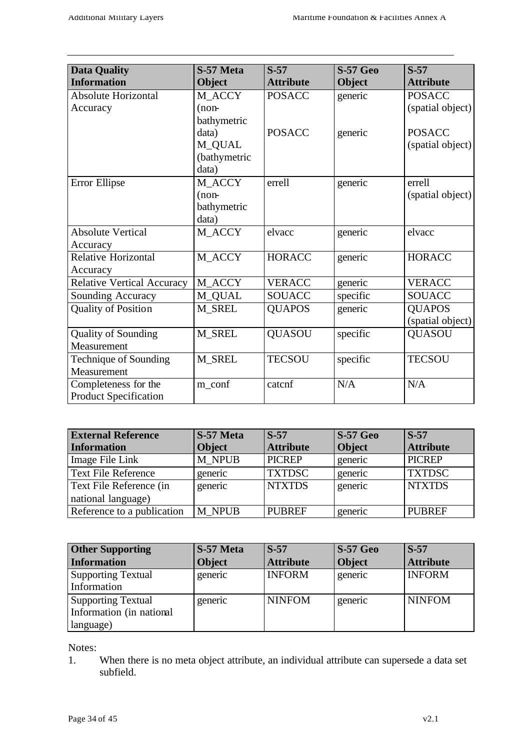| <b>Data Quality</b>               | S-57 Meta    | $S-57$           | <b>S-57 Geo</b> | $S-57$           |
|-----------------------------------|--------------|------------------|-----------------|------------------|
| <b>Information</b>                | Object       | <b>Attribute</b> | <b>Object</b>   | <b>Attribute</b> |
| Absolute Horizontal               | M ACCY       | <b>POSACC</b>    | generic         | <b>POSACC</b>    |
| Accuracy                          | $(n$ on-     |                  |                 | (spatial object) |
|                                   | bathymetric  |                  |                 |                  |
|                                   | data)        | <b>POSACC</b>    | generic         | <b>POSACC</b>    |
|                                   | M_QUAL       |                  |                 | (spatial object) |
|                                   | (bathymetric |                  |                 |                  |
|                                   | data)        |                  |                 |                  |
| Error Ellipse                     | M_ACCY       | errell           | generic         | errell           |
|                                   | $(n$ on-     |                  |                 | (spatial object) |
|                                   | bathymetric  |                  |                 |                  |
|                                   | data)        |                  |                 |                  |
| <b>Absolute Vertical</b>          | M_ACCY       | elvacc           | generic         | elvacc           |
| Accuracy                          |              |                  |                 |                  |
| <b>Relative Horizontal</b>        | M_ACCY       | <b>HORACC</b>    | generic         | <b>HORACC</b>    |
| Accuracy                          |              |                  |                 |                  |
| <b>Relative Vertical Accuracy</b> | M ACCY       | <b>VERACC</b>    | generic         | <b>VERACC</b>    |
| Sounding Accuracy                 | M_QUAL       | <b>SOUACC</b>    | specific        | <b>SOUACC</b>    |
| <b>Quality of Position</b>        | M_SREL       | <b>QUAPOS</b>    | generic         | <b>QUAPOS</b>    |
|                                   |              |                  |                 | (spatial object) |
| <b>Quality of Sounding</b>        | M_SREL       | <b>QUASOU</b>    | specific        | <b>QUASOU</b>    |
| Measurement                       |              |                  |                 |                  |
| Technique of Sounding             | M_SREL       | <b>TECSOU</b>    | specific        | <b>TECSOU</b>    |
| Measurement                       |              |                  |                 |                  |
| Completeness for the              | m_conf       | catcnf           | N/A             | N/A              |
| <b>Product Specification</b>      |              |                  |                 |                  |

| <b>External Reference</b>                     | S-57 Meta     | $S-57$           | $S-57$ Geo    | $S-57$           |
|-----------------------------------------------|---------------|------------------|---------------|------------------|
| <b>Information</b>                            | <b>Object</b> | <b>Attribute</b> | <b>Object</b> | <b>Attribute</b> |
| Image File Link                               | M NPUB        | <b>PICREP</b>    | generic       | <b>PICREP</b>    |
| <b>Text File Reference</b>                    | generic       | <b>TXTDSC</b>    | generic       | <b>TXTDSC</b>    |
| Text File Reference (in<br>national language) | generic       | <b>NTXTDS</b>    | generic       | <b>NTXTDS</b>    |
| Reference to a publication                    | M NPUB        | <b>PUBREF</b>    | generic       | <b>PUBREF</b>    |

| <b>Other Supporting</b>                                            | S-57 Meta     | $S-57$           | <b>S-57 Geo</b> | $S-57$           |
|--------------------------------------------------------------------|---------------|------------------|-----------------|------------------|
| <b>Information</b>                                                 | <b>Object</b> | <b>Attribute</b> | <b>Object</b>   | <b>Attribute</b> |
| <b>Supporting Textual</b><br>Information                           | generic       | <b>INFORM</b>    | generic         | <b>INFORM</b>    |
| <b>Supporting Textual</b><br>Information (in national<br>language) | generic       | <b>NINFOM</b>    | generic         | <b>NINFOM</b>    |

Notes:

1. When there is no meta object attribute, an individual attribute can supersede a data set subfield.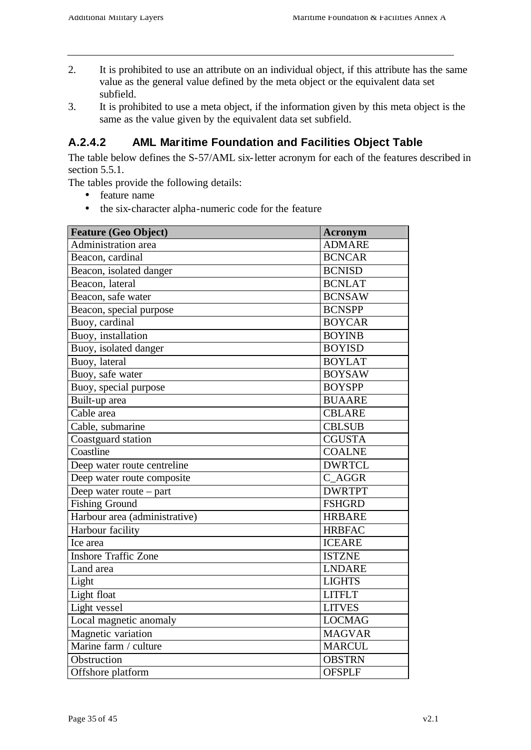- 2. It is prohibited to use an attribute on an individual object, if this attribute has the same value as the general value defined by the meta object or the equivalent data set subfield.
- 3. It is prohibited to use a meta object, if the information given by this meta object is the same as the value given by the equivalent data set subfield.

### **A.2.4.2 AML Maritime Foundation and Facilities Object Table**

The table below defines the S-57/AML six-letter acronym for each of the features described in section 5.5.1.

The tables provide the following details:

- feature name
- the six-character alpha-numeric code for the feature

| <b>Feature (Geo Object)</b>   | <b>Acronym</b> |
|-------------------------------|----------------|
| Administration area           | <b>ADMARE</b>  |
| Beacon, cardinal              | <b>BCNCAR</b>  |
| Beacon, isolated danger       | <b>BCNISD</b>  |
| Beacon, lateral               | <b>BCNLAT</b>  |
| Beacon, safe water            | <b>BCNSAW</b>  |
| Beacon, special purpose       | <b>BCNSPP</b>  |
| Buoy, cardinal                | <b>BOYCAR</b>  |
| Buoy, installation            | <b>BOYINB</b>  |
| Buoy, isolated danger         | <b>BOYISD</b>  |
| Buoy, lateral                 | <b>BOYLAT</b>  |
| Buoy, safe water              | <b>BOYSAW</b>  |
| Buoy, special purpose         | <b>BOYSPP</b>  |
| Built-up area                 | <b>BUAARE</b>  |
| Cable area                    | <b>CBLARE</b>  |
| Cable, submarine              | <b>CBLSUB</b>  |
| Coastguard station            | <b>CGUSTA</b>  |
| Coastline                     | <b>COALNE</b>  |
| Deep water route centreline   | <b>DWRTCL</b>  |
| Deep water route composite    | C AGGR         |
| Deep water route – part       | <b>DWRTPT</b>  |
| <b>Fishing Ground</b>         | <b>FSHGRD</b>  |
| Harbour area (administrative) | <b>HRBARE</b>  |
| Harbour facility              | <b>HRBFAC</b>  |
| Ice area                      | <b>ICEARE</b>  |
| <b>Inshore Traffic Zone</b>   | <b>ISTZNE</b>  |
| Land area                     | <b>LNDARE</b>  |
| Light                         | <b>LIGHTS</b>  |
| Light float                   | <b>LITFLT</b>  |
| Light vessel                  | <b>LITVES</b>  |
| Local magnetic anomaly        | <b>LOCMAG</b>  |
| Magnetic variation            | <b>MAGVAR</b>  |
| Marine farm / culture         | <b>MARCUL</b>  |
| Obstruction                   | <b>OBSTRN</b>  |
| Offshore platform             | <b>OFSPLF</b>  |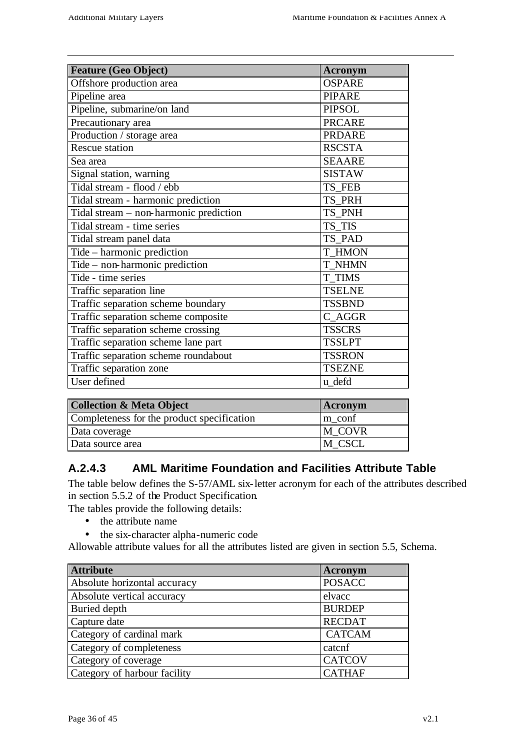| <b>Feature (Geo Object)</b>                | Acronym       |
|--------------------------------------------|---------------|
| Offshore production area                   | <b>OSPARE</b> |
| Pipeline area                              | <b>PIPARE</b> |
| Pipeline, submarine/on land                | <b>PIPSOL</b> |
| Precautionary area                         | <b>PRCARE</b> |
| Production / storage area                  | <b>PRDARE</b> |
| <b>Rescue station</b>                      | <b>RSCSTA</b> |
| Sea area                                   | <b>SEAARE</b> |
| Signal station, warning                    | <b>SISTAW</b> |
| Tidal stream - flood / ebb                 | TS FEB        |
| Tidal stream - harmonic prediction         | TS_PRH        |
| Tidal stream - non-harmonic prediction     | TS PNH        |
| Tidal stream - time series                 | TS TIS        |
| Tidal stream panel data                    | TS PAD        |
| Tide – harmonic prediction                 | <b>T_HMON</b> |
| Tide – non-harmonic prediction             | <b>T NHMN</b> |
| Tide - time series                         | <b>T TIMS</b> |
| Traffic separation line                    | <b>TSELNE</b> |
| Traffic separation scheme boundary         | <b>TSSBND</b> |
| Traffic separation scheme composite        | C AGGR        |
| Traffic separation scheme crossing         | <b>TSSCRS</b> |
| Traffic separation scheme lane part        | <b>TSSLPT</b> |
| Traffic separation scheme roundabout       | <b>TSSRON</b> |
| Traffic separation zone                    | <b>TSEZNE</b> |
| User defined                               | u_defd        |
|                                            |               |
| <b>Collection &amp; Meta Object</b>        | Acronym       |
| Completeness for the product specification | m conf        |
| Data coverage                              | M COVR        |

### **A.2.4.3 AML Maritime Foundation and Facilities Attribute Table**

Data source area M CSCL

The table below defines the S-57/AML six-letter acronym for each of the attributes described in section 5.5.2 of the Product Specification.

The tables provide the following details:

- the attribute name
- the six-character alpha-numeric code

Allowable attribute values for all the attributes listed are given in section 5.5, Schema.

| <b>Attribute</b>             | Acronym       |
|------------------------------|---------------|
| Absolute horizontal accuracy | <b>POSACC</b> |
| Absolute vertical accuracy   | elvacc        |
| <b>Buried depth</b>          | <b>BURDEP</b> |
| Capture date                 | <b>RECDAT</b> |
| Category of cardinal mark    | <b>CATCAM</b> |
| Category of completeness     | catcnf        |
| Category of coverage         | <b>CATCOV</b> |
| Category of harbour facility | <b>CATHAF</b> |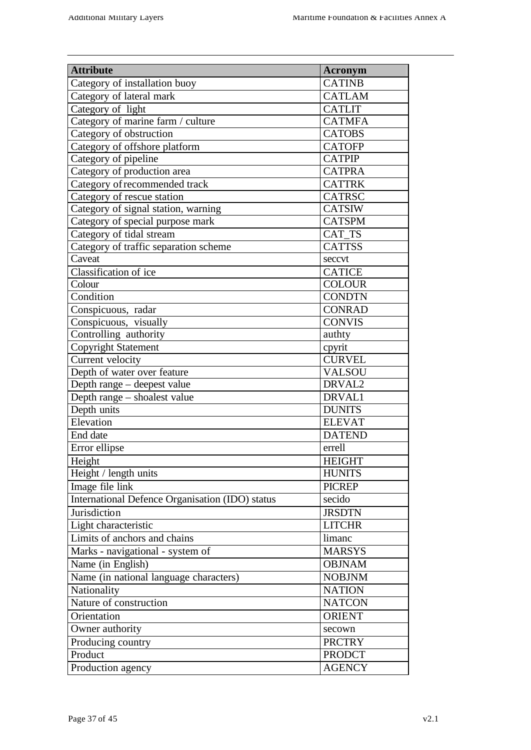| <b>Attribute</b>                                | <b>Acronym</b> |
|-------------------------------------------------|----------------|
| Category of installation buoy                   | <b>CATINB</b>  |
| Category of lateral mark                        | <b>CATLAM</b>  |
| Category of light                               | <b>CATLIT</b>  |
| Category of marine farm / culture               | <b>CATMFA</b>  |
| Category of obstruction                         | <b>CATOBS</b>  |
| Category of offshore platform                   | <b>CATOFP</b>  |
| Category of pipeline                            | <b>CATPIP</b>  |
| Category of production area                     | <b>CATPRA</b>  |
| Category of recommended track                   | <b>CATTRK</b>  |
| Category of rescue station                      | <b>CATRSC</b>  |
| Category of signal station, warning             | <b>CATSIW</b>  |
| Category of special purpose mark                | <b>CATSPM</b>  |
| Category of tidal stream                        | CAT TS         |
| Category of traffic separation scheme           | <b>CATTSS</b>  |
| Caveat                                          | seccvt         |
| Classification of ice                           | <b>CATICE</b>  |
| Colour                                          | <b>COLOUR</b>  |
| Condition                                       | <b>CONDTN</b>  |
| Conspicuous, radar                              | <b>CONRAD</b>  |
| Conspicuous, visually                           | <b>CONVIS</b>  |
| Controlling authority                           | authty         |
| Copyright Statement                             | cpyrit         |
| Current velocity                                | <b>CURVEL</b>  |
| Depth of water over feature                     | <b>VALSOU</b>  |
| Depth range - deepest value                     | DRVAL2         |
| Depth range - shoalest value                    | DRVAL1         |
| Depth units                                     | <b>DUNITS</b>  |
| Elevation                                       | <b>ELEVAT</b>  |
| End date                                        | <b>DATEND</b>  |
| Error ellipse                                   | errell         |
| Height                                          | <b>HEIGHT</b>  |
| Height / length units                           | <b>HUNITS</b>  |
| Image file link                                 | <b>PICREP</b>  |
| International Defence Organisation (IDO) status | secido         |
| Jurisdiction                                    | <b>JRSDTN</b>  |
| Light characteristic                            | <b>LITCHR</b>  |
| Limits of anchors and chains                    | limanc         |
| Marks - navigational - system of                | <b>MARSYS</b>  |
| Name (in English)                               | <b>OBJNAM</b>  |
| Name (in national language characters)          | <b>NOBJNM</b>  |
| Nationality                                     | <b>NATION</b>  |
| Nature of construction                          | <b>NATCON</b>  |
| Orientation                                     | <b>ORIENT</b>  |
| Owner authority                                 | secown         |
| Producing country                               | <b>PRCTRY</b>  |
| Product                                         | <b>PRODCT</b>  |
| Production agency                               | <b>AGENCY</b>  |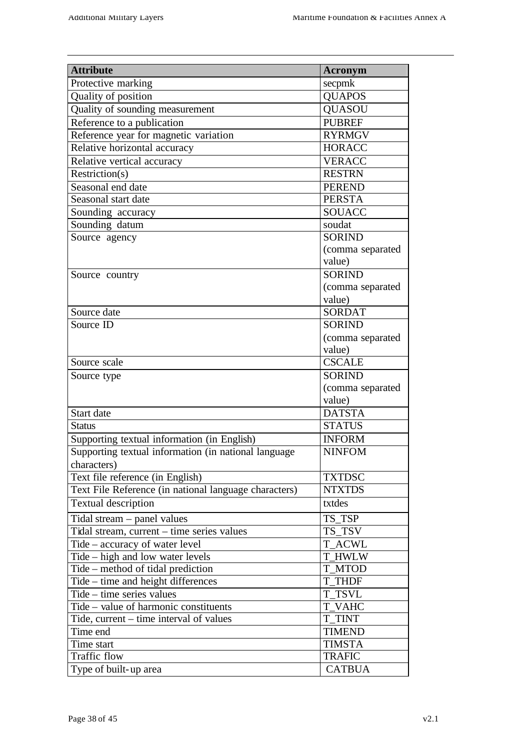| <b>Attribute</b>                                      | <b>Acronym</b>   |
|-------------------------------------------------------|------------------|
| Protective marking                                    | secpmk           |
| Quality of position                                   | <b>QUAPOS</b>    |
| Quality of sounding measurement                       | <b>OUASOU</b>    |
| Reference to a publication                            | <b>PUBREF</b>    |
| Reference year for magnetic variation                 | <b>RYRMGV</b>    |
| Relative horizontal accuracy                          | <b>HORACC</b>    |
| Relative vertical accuracy                            | <b>VERACC</b>    |
| Restriction(s)                                        | <b>RESTRN</b>    |
| Seasonal end date                                     | <b>PEREND</b>    |
| Seasonal start date                                   | <b>PERSTA</b>    |
| Sounding accuracy                                     | <b>SOUACC</b>    |
| Sounding datum                                        | soudat           |
| Source agency                                         | <b>SORIND</b>    |
|                                                       | (comma separated |
|                                                       | value)           |
| Source country                                        | <b>SORIND</b>    |
|                                                       | (comma separated |
|                                                       | value)           |
| Source date                                           | <b>SORDAT</b>    |
| Source ID                                             | <b>SORIND</b>    |
|                                                       | (comma separated |
|                                                       | value)           |
| Source scale                                          | <b>CSCALE</b>    |
| Source type                                           | <b>SORIND</b>    |
|                                                       | (comma separated |
|                                                       | value)           |
| Start date                                            | <b>DATSTA</b>    |
| <b>Status</b>                                         | <b>STATUS</b>    |
| Supporting textual information (in English)           | <b>INFORM</b>    |
| Supporting textual information (in national language  | <b>NINFOM</b>    |
| characters)                                           |                  |
| Text file reference (in English)                      | <b>TXTDSC</b>    |
| Text File Reference (in national language characters) | <b>NTXTDS</b>    |
| <b>Textual description</b>                            | txtdes           |
| Tidal stream $-$ panel values                         | TS TSP           |
| Tidal stream, current - time series values            | TS_TSV           |
| Tide – accuracy of water level                        | <b>T_ACWL</b>    |
| Tide – high and low water levels                      | <b>T_HWLW</b>    |
| Tide – method of tidal prediction                     | <b>T_MTOD</b>    |
| Tide – time and height differences                    | <b>T THDF</b>    |
| Tide – time series values                             | <b>T TSVL</b>    |
| Tide - value of harmonic constituents                 | <b>T_VAHC</b>    |
| Tide, current – time interval of values               | <b>T_TINT</b>    |
| Time end                                              | <b>TIMEND</b>    |
| Time start                                            | <b>TIMSTA</b>    |
| <b>Traffic flow</b>                                   | <b>TRAFIC</b>    |
| Type of built-up area                                 | <b>CATBUA</b>    |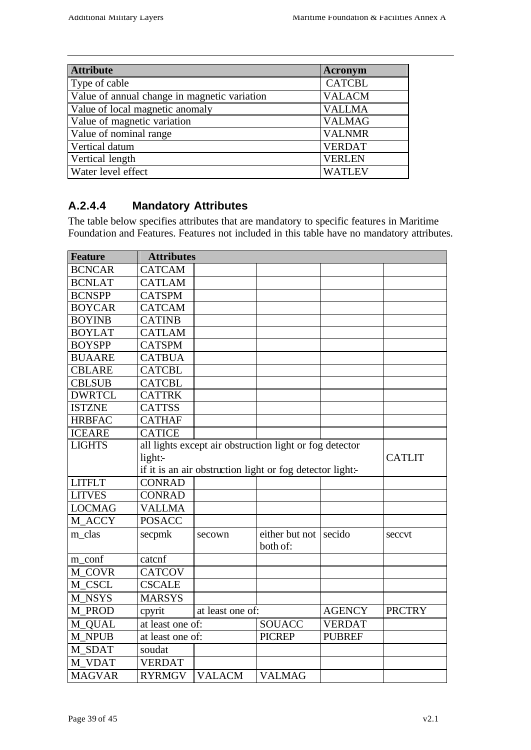| <b>Attribute</b>                             | <b>Acronym</b> |
|----------------------------------------------|----------------|
| Type of cable                                | <b>CATCBL</b>  |
| Value of annual change in magnetic variation | <b>VALACM</b>  |
| Value of local magnetic anomaly              | <b>VALLMA</b>  |
| Value of magnetic variation                  | <b>VALMAG</b>  |
| Value of nominal range                       | <b>VALNMR</b>  |
| Vertical datum                               | <b>VERDAT</b>  |
| Vertical length                              | <b>VERLEN</b>  |
| Water level effect                           | <b>WATLEV</b>  |

### **A.2.4.4 Mandatory Attributes**

The table below specifies attributes that are mandatory to specific features in Maritime Foundation and Features. Features not included in this table have no mandatory attributes.

| <b>Feature</b> | <b>Attributes</b> |                  |                                                           |               |               |
|----------------|-------------------|------------------|-----------------------------------------------------------|---------------|---------------|
| <b>BCNCAR</b>  | <b>CATCAM</b>     |                  |                                                           |               |               |
| <b>BCNLAT</b>  | <b>CATLAM</b>     |                  |                                                           |               |               |
| <b>BCNSPP</b>  | <b>CATSPM</b>     |                  |                                                           |               |               |
| <b>BOYCAR</b>  | <b>CATCAM</b>     |                  |                                                           |               |               |
| <b>BOYINB</b>  | <b>CATINB</b>     |                  |                                                           |               |               |
| <b>BOYLAT</b>  | <b>CATLAM</b>     |                  |                                                           |               |               |
| <b>BOYSPP</b>  | <b>CATSPM</b>     |                  |                                                           |               |               |
| <b>BUAARE</b>  | <b>CATBUA</b>     |                  |                                                           |               |               |
| <b>CBLARE</b>  | <b>CATCBL</b>     |                  |                                                           |               |               |
| <b>CBLSUB</b>  | <b>CATCBL</b>     |                  |                                                           |               |               |
| <b>DWRTCL</b>  | <b>CATTRK</b>     |                  |                                                           |               |               |
| <b>ISTZNE</b>  | <b>CATTSS</b>     |                  |                                                           |               |               |
| <b>HRBFAC</b>  | <b>CATHAF</b>     |                  |                                                           |               |               |
| <b>ICEARE</b>  | <b>CATICE</b>     |                  |                                                           |               |               |
| <b>LIGHTS</b>  |                   |                  | all lights except air obstruction light or fog detector   |               |               |
|                | light:-           |                  |                                                           |               | <b>CATLIT</b> |
|                |                   |                  | if it is an air obstruction light or fog detector light:- |               |               |
| <b>LITFLT</b>  | <b>CONRAD</b>     |                  |                                                           |               |               |
| <b>LITVES</b>  | <b>CONRAD</b>     |                  |                                                           |               |               |
| <b>LOCMAG</b>  | <b>VALLMA</b>     |                  |                                                           |               |               |
| M ACCY         | <b>POSACC</b>     |                  |                                                           |               |               |
| m clas         | secpmk            | secown           | either but not<br>both of:                                | secido        | seccvt        |
| m_conf         | catcnf            |                  |                                                           |               |               |
| M COVR         | <b>CATCOV</b>     |                  |                                                           |               |               |
| M CSCL         | <b>CSCALE</b>     |                  |                                                           |               |               |
| M NSYS         | <b>MARSYS</b>     |                  |                                                           |               |               |
| M PROD         | cpyrit            | at least one of: |                                                           | <b>AGENCY</b> | <b>PRCTRY</b> |
| M_QUAL         | at least one of:  |                  | <b>SOUACC</b>                                             | <b>VERDAT</b> |               |
| <b>M_NPUB</b>  | at least one of:  |                  | <b>PICREP</b>                                             | <b>PUBREF</b> |               |
| M_SDAT         | soudat            |                  |                                                           |               |               |
| M VDAT         | <b>VERDAT</b>     |                  |                                                           |               |               |
| <b>MAGVAR</b>  | <b>RYRMGV</b>     | <b>VALACM</b>    | <b>VALMAG</b>                                             |               |               |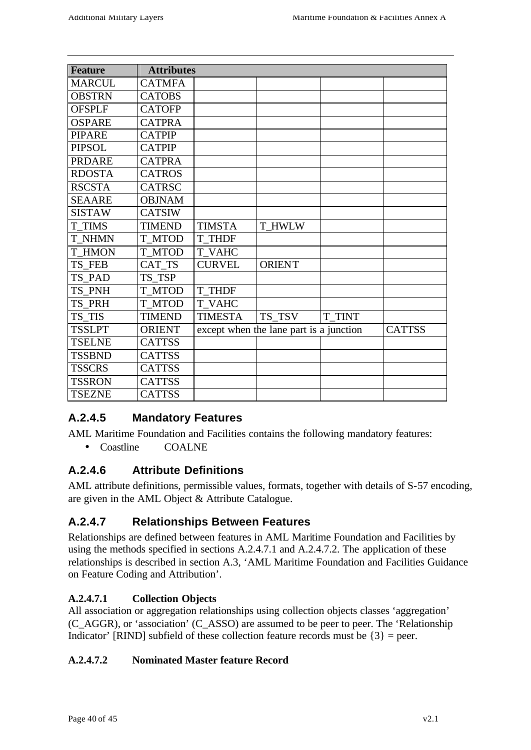| <b>Feature</b> | <b>Attributes</b> |                |                                         |        |               |
|----------------|-------------------|----------------|-----------------------------------------|--------|---------------|
| <b>MARCUL</b>  | <b>CATMFA</b>     |                |                                         |        |               |
| <b>OBSTRN</b>  | <b>CATOBS</b>     |                |                                         |        |               |
| <b>OFSPLF</b>  | <b>CATOFP</b>     |                |                                         |        |               |
| <b>OSPARE</b>  | <b>CATPRA</b>     |                |                                         |        |               |
| <b>PIPARE</b>  | <b>CATPIP</b>     |                |                                         |        |               |
| <b>PIPSOL</b>  | <b>CATPIP</b>     |                |                                         |        |               |
| <b>PRDARE</b>  | <b>CATPRA</b>     |                |                                         |        |               |
| <b>RDOSTA</b>  | <b>CATROS</b>     |                |                                         |        |               |
| <b>RSCSTA</b>  | <b>CATRSC</b>     |                |                                         |        |               |
| <b>SEAARE</b>  | <b>OBJNAM</b>     |                |                                         |        |               |
| <b>SISTAW</b>  | <b>CATSIW</b>     |                |                                         |        |               |
| <b>T TIMS</b>  | <b>TIMEND</b>     | <b>TIMSTA</b>  | <b>T HWLW</b>                           |        |               |
| <b>T NHMN</b>  | <b>T MTOD</b>     | <b>T THDF</b>  |                                         |        |               |
| <b>T HMON</b>  | <b>T MTOD</b>     | <b>T VAHC</b>  |                                         |        |               |
| TS FEB         | CAT TS            | <b>CURVEL</b>  | <b>ORIENT</b>                           |        |               |
| TS PAD         | TS_TSP            |                |                                         |        |               |
| TS PNH         | T MTOD            | <b>T THDF</b>  |                                         |        |               |
| TS_PRH         | <b>T MTOD</b>     | <b>T VAHC</b>  |                                         |        |               |
| TS TIS         | <b>TIMEND</b>     | <b>TIMESTA</b> | TS_TSV                                  | T_TINT |               |
| <b>TSSLPT</b>  | <b>ORIENT</b>     |                | except when the lane part is a junction |        | <b>CATTSS</b> |
| <b>TSELNE</b>  | <b>CATTSS</b>     |                |                                         |        |               |
| <b>TSSBND</b>  | <b>CATTSS</b>     |                |                                         |        |               |
| <b>TSSCRS</b>  | <b>CATTSS</b>     |                |                                         |        |               |
| <b>TSSRON</b>  | <b>CATTSS</b>     |                |                                         |        |               |
| <b>TSEZNE</b>  | <b>CATTSS</b>     |                |                                         |        |               |

### **A.2.4.5 Mandatory Features**

AML Maritime Foundation and Facilities contains the following mandatory features: • Coastline COALNE

### **A.2.4.6 Attribute Definitions**

AML attribute definitions, permissible values, formats, together with details of S-57 encoding, are given in the AML Object & Attribute Catalogue.

### **A.2.4.7 Relationships Between Features**

Relationships are defined between features in AML Maritime Foundation and Facilities by using the methods specified in sections A.2.4.7.1 and A.2.4.7.2. The application of these relationships is described in section A.3, 'AML Maritime Foundation and Facilities Guidance on Feature Coding and Attribution'.

### **A.2.4.7.1 Collection Objects**

All association or aggregation relationships using collection objects classes 'aggregation' (C\_AGGR), or 'association' (C\_ASSO) are assumed to be peer to peer. The 'Relationship Indicator' [RIND] subfield of these collection feature records must be  $\{3\}$  = peer.

### **A.2.4.7.2 Nominated Master feature Record**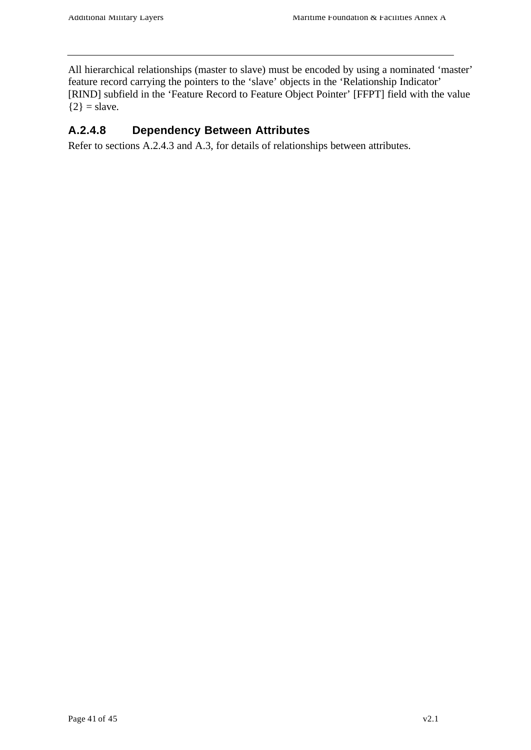All hierarchical relationships (master to slave) must be encoded by using a nominated 'master' feature record carrying the pointers to the 'slave' objects in the 'Relationship Indicator' [RIND] subfield in the 'Feature Record to Feature Object Pointer' [FFPT] field with the value  ${2}$  = slave.

### **A.2.4.8 Dependency Between Attributes**

Refer to sections A.2.4.3 and A.3, for details of relationships between attributes.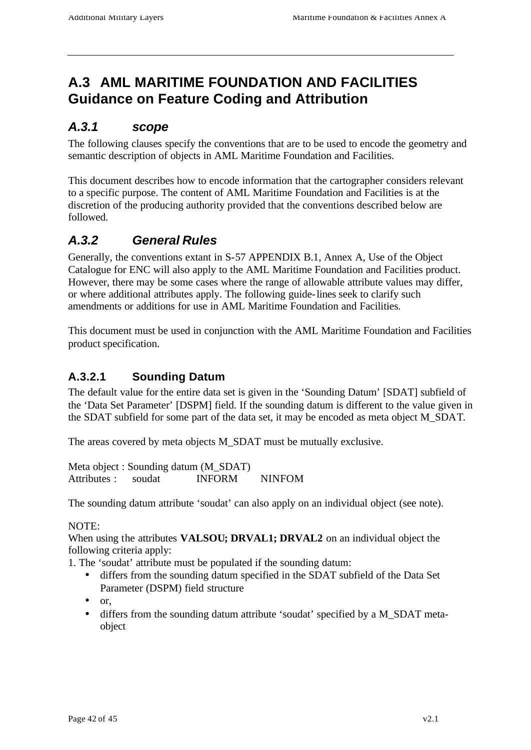# **A.3 AML MARITIME FOUNDATION AND FACILITIES Guidance on Feature Coding and Attribution**

### *A.3.1 scope*

The following clauses specify the conventions that are to be used to encode the geometry and semantic description of objects in AML Maritime Foundation and Facilities.

This document describes how to encode information that the cartographer considers relevant to a specific purpose. The content of AML Maritime Foundation and Facilities is at the discretion of the producing authority provided that the conventions described below are followed.

# *A.3.2 General Rules*

Generally, the conventions extant in S-57 APPENDIX B.1, Annex A, Use of the Object Catalogue for ENC will also apply to the AML Maritime Foundation and Facilities product. However, there may be some cases where the range of allowable attribute values may differ, or where additional attributes apply. The following guide-lines seek to clarify such amendments or additions for use in AML Maritime Foundation and Facilities.

This document must be used in conjunction with the AML Maritime Foundation and Facilities product specification.

### **A.3.2.1 Sounding Datum**

The default value for the entire data set is given in the 'Sounding Datum' [SDAT] subfield of the 'Data Set Parameter' [DSPM] field. If the sounding datum is different to the value given in the SDAT subfield for some part of the data set, it may be encoded as meta object M\_SDAT.

The areas covered by meta objects M\_SDAT must be mutually exclusive.

Meta object : Sounding datum (M\_SDAT) Attributes : soudat INFORM NINFOM

The sounding datum attribute 'soudat' can also apply on an individual object (see note).

#### NOTE:

When using the attributes **VALSOU; DRVAL1; DRVAL2** on an individual object the following criteria apply:

1. The 'soudat' attribute must be populated if the sounding datum:

- differs from the sounding datum specified in the SDAT subfield of the Data Set Parameter (DSPM) field structure
- or,
- differs from the sounding datum attribute 'soudat' specified by a M\_SDAT metaobject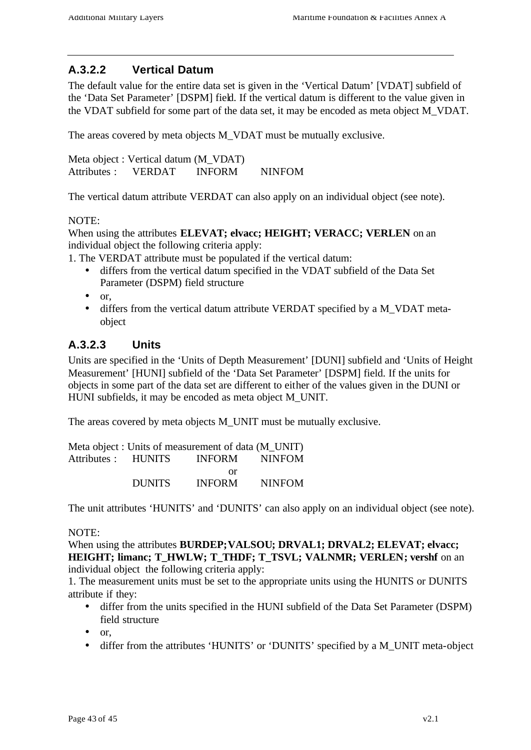### **A.3.2.2 Vertical Datum**

The default value for the entire data set is given in the 'Vertical Datum' [VDAT] subfield of the 'Data Set Parameter' [DSPM] field. If the vertical datum is different to the value given in the VDAT subfield for some part of the data set, it may be encoded as meta object M\_VDAT.

The areas covered by meta objects M\_VDAT must be mutually exclusive.

Meta object : Vertical datum (M\_VDAT) Attributes : VERDAT INFORM NINFOM

The vertical datum attribute VERDAT can also apply on an individual object (see note).

#### NOTE:

When using the attributes **ELEVAT; elvacc; HEIGHT; VERACC; VERLEN** on an individual object the following criteria apply:

1. The VERDAT attribute must be populated if the vertical datum:

- differs from the vertical datum specified in the VDAT subfield of the Data Set Parameter (DSPM) field structure
- or,
- differs from the vertical datum attribute VERDAT specified by a M\_VDAT metaobject

#### **A.3.2.3 Units**

Units are specified in the 'Units of Depth Measurement' [DUNI] subfield and 'Units of Height Measurement' [HUNI] subfield of the 'Data Set Parameter' [DSPM] field. If the units for objects in some part of the data set are different to either of the values given in the DUNI or HUNI subfields, it may be encoded as meta object M\_UNIT.

The areas covered by meta objects M\_UNIT must be mutually exclusive.

|                     |        | Meta object : Units of measurement of data (M_UNIT) |               |
|---------------------|--------|-----------------------------------------------------|---------------|
| Attributes : HUNITS |        | INFORM NINFOM                                       |               |
|                     |        | or                                                  |               |
|                     | DUNITS | <b>INFORM</b>                                       | <b>NINFOM</b> |

The unit attributes 'HUNITS' and 'DUNITS' can also apply on an individual object (see note).

#### NOTE:

When using the attributes **BURDEP; VALSOU; DRVAL1; DRVAL2; ELEVAT; elvacc; HEIGHT; limanc; T\_HWLW; T\_THDF; T\_TSVL; VALNMR; VERLEN; vershf** on an individual object the following criteria apply:

1. The measurement units must be set to the appropriate units using the HUNITS or DUNITS attribute if they:

- differ from the units specified in the HUNI subfield of the Data Set Parameter (DSPM) field structure
- or,
- differ from the attributes 'HUNITS' or 'DUNITS' specified by a M\_UNIT meta-object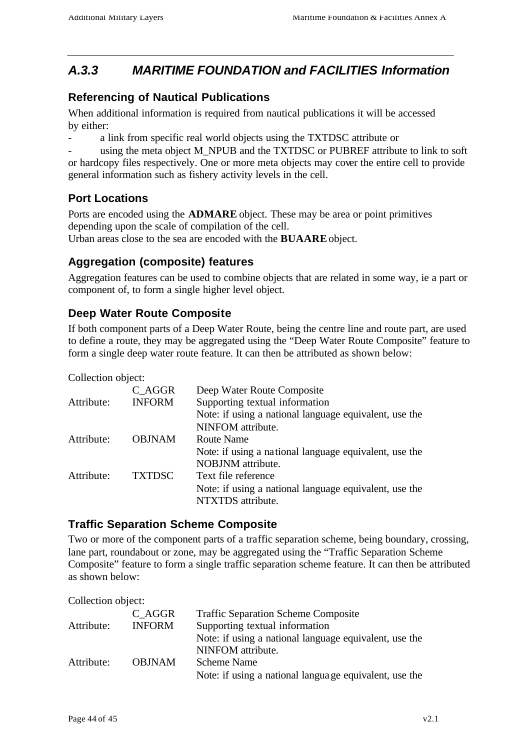# *A.3.3 MARITIME FOUNDATION and FACILITIES Information*

### **Referencing of Nautical Publications**

When additional information is required from nautical publications it will be accessed by either:

a link from specific real world objects using the TXTDSC attribute or

using the meta object M\_NPUB and the TXTDSC or PUBREF attribute to link to soft or hardcopy files respectively. One or more meta objects may cover the entire cell to provide general information such as fishery activity levels in the cell.

### **Port Locations**

Ports are encoded using the **ADMARE** object. These may be area or point primitives depending upon the scale of compilation of the cell.

Urban areas close to the sea are encoded with the **BUAARE** object.

### **Aggregation (composite) features**

Aggregation features can be used to combine objects that are related in some way, ie a part or component of, to form a single higher level object.

### **Deep Water Route Composite**

If both component parts of a Deep Water Route, being the centre line and route part, are used to define a route, they may be aggregated using the "Deep Water Route Composite" feature to form a single deep water route feature. It can then be attributed as shown below:

Collection object:

|            | C AGGR        | Deep Water Route Composite                             |
|------------|---------------|--------------------------------------------------------|
| Attribute: | <b>INFORM</b> | Supporting textual information                         |
|            |               | Note: if using a national language equivalent, use the |
|            |               | NINFOM attribute.                                      |
| Attribute: | <b>OBJNAM</b> | Route Name                                             |
|            |               | Note: if using a national language equivalent, use the |
|            |               | NOBJNM attribute.                                      |
| Attribute: | <b>TXTDSC</b> | Text file reference                                    |
|            |               | Note: if using a national language equivalent, use the |
|            |               | NTXTDS attribute.                                      |

### **Traffic Separation Scheme Composite**

Two or more of the component parts of a traffic separation scheme, being boundary, crossing, lane part, roundabout or zone, may be aggregated using the "Traffic Separation Scheme Composite" feature to form a single traffic separation scheme feature. It can then be attributed as shown below:

Collection object:

| Attribute: | C AGGR<br><b>INFORM</b> | <b>Traffic Separation Scheme Composite</b><br>Supporting textual information |
|------------|-------------------------|------------------------------------------------------------------------------|
|            |                         | Note: if using a national language equivalent, use the                       |
|            |                         | NINFOM attribute.                                                            |
| Attribute: | <b>OBJNAM</b>           | Scheme Name                                                                  |
|            |                         | Note: if using a national language equivalent, use the                       |